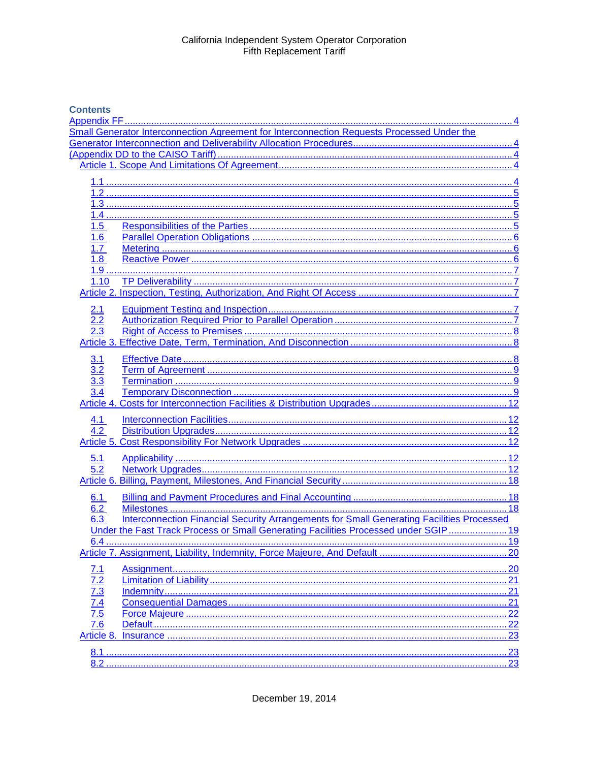## **Contents**

|                                                                    | Small Generator Interconnection Agreement for Interconnection Requests Processed Under the       |     |
|--------------------------------------------------------------------|--------------------------------------------------------------------------------------------------|-----|
|                                                                    |                                                                                                  |     |
|                                                                    |                                                                                                  |     |
|                                                                    |                                                                                                  |     |
|                                                                    |                                                                                                  |     |
|                                                                    |                                                                                                  |     |
|                                                                    |                                                                                                  |     |
|                                                                    |                                                                                                  |     |
|                                                                    |                                                                                                  |     |
| 1.5                                                                |                                                                                                  |     |
| 1.6                                                                |                                                                                                  |     |
| 1.7                                                                |                                                                                                  |     |
| 1.8                                                                |                                                                                                  |     |
|                                                                    |                                                                                                  |     |
| 1.10                                                               |                                                                                                  |     |
|                                                                    |                                                                                                  |     |
|                                                                    |                                                                                                  |     |
| 2.1                                                                |                                                                                                  |     |
| $\overline{2.2}$                                                   |                                                                                                  |     |
|                                                                    |                                                                                                  |     |
|                                                                    |                                                                                                  |     |
| 3.1                                                                |                                                                                                  |     |
| 3.2                                                                |                                                                                                  |     |
| 3.3                                                                |                                                                                                  |     |
| 3.4                                                                |                                                                                                  |     |
|                                                                    |                                                                                                  |     |
|                                                                    |                                                                                                  |     |
| 4.1                                                                |                                                                                                  |     |
| 4.2                                                                |                                                                                                  |     |
|                                                                    |                                                                                                  |     |
|                                                                    |                                                                                                  |     |
| 5.1                                                                |                                                                                                  |     |
| 5.2                                                                |                                                                                                  |     |
|                                                                    |                                                                                                  |     |
| 6.1                                                                |                                                                                                  |     |
| 6.2                                                                |                                                                                                  |     |
| 6.3                                                                | <b>Interconnection Financial Security Arrangements for Small Generating Facilities Processed</b> |     |
|                                                                    | Under the Fast Track Process or Small Generating Facilities Processed under SGIP 19              |     |
|                                                                    |                                                                                                  |     |
|                                                                    |                                                                                                  |     |
|                                                                    |                                                                                                  |     |
| <u>7.1</u>                                                         |                                                                                                  |     |
|                                                                    |                                                                                                  | 21  |
| $\frac{7.2}{7.3}$<br>$\frac{7.3}{7.4}$<br>$\frac{7.4}{7.5}$<br>7.6 |                                                                                                  |     |
|                                                                    | 21                                                                                               |     |
|                                                                    |                                                                                                  | .22 |
|                                                                    |                                                                                                  |     |
|                                                                    | 23                                                                                               |     |
|                                                                    |                                                                                                  |     |
|                                                                    | 23                                                                                               |     |
|                                                                    |                                                                                                  |     |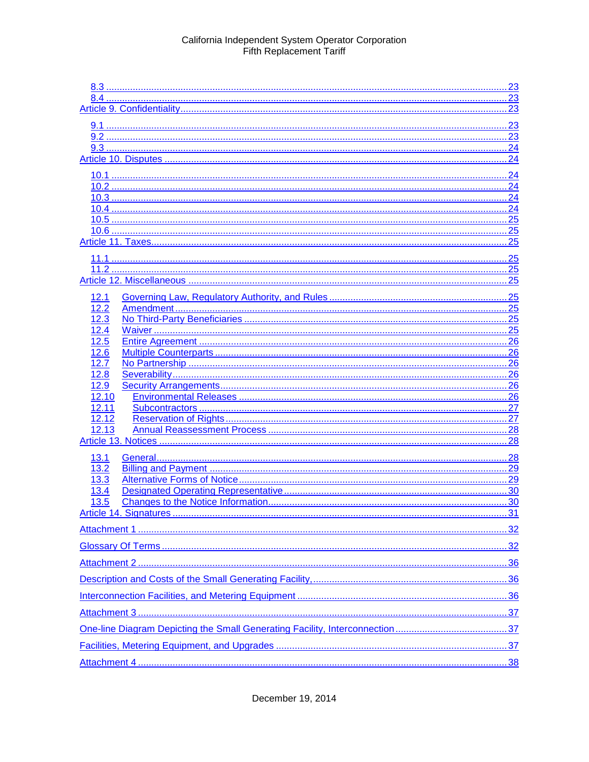|                | .23 |
|----------------|-----|
|                |     |
|                |     |
|                | 24  |
|                |     |
|                |     |
|                |     |
|                | 24  |
|                | 25  |
|                |     |
|                | 25  |
|                | .25 |
|                |     |
|                |     |
| 12.1           |     |
| 12.2           |     |
| 12.3           |     |
| 12.4           |     |
| 12.5           |     |
| 12.6           | 26  |
| 12.7           |     |
| 12.8           |     |
| 12.9           |     |
| 12.10<br>12.11 | .27 |
| 12.12          |     |
| 12.13          | 28  |
|                |     |
|                |     |
| 13.1<br>13.2   |     |
| 13.3           |     |
| 13.4           |     |
| 13.5           |     |
|                |     |
|                |     |
|                |     |
|                |     |
|                |     |
|                |     |
|                |     |
|                |     |
|                |     |
|                |     |
|                |     |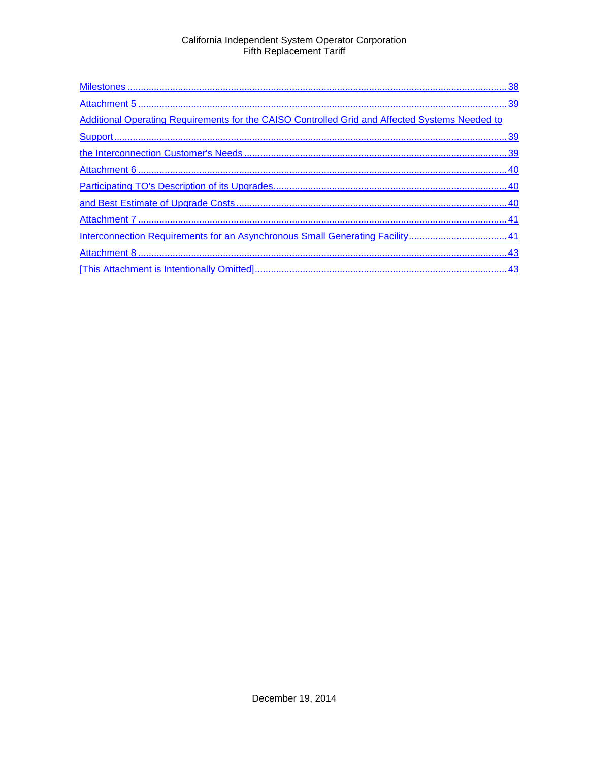| Additional Operating Requirements for the CAISO Controlled Grid and Affected Systems Needed to |
|------------------------------------------------------------------------------------------------|
|                                                                                                |
|                                                                                                |
|                                                                                                |
|                                                                                                |
|                                                                                                |
|                                                                                                |
|                                                                                                |
|                                                                                                |
|                                                                                                |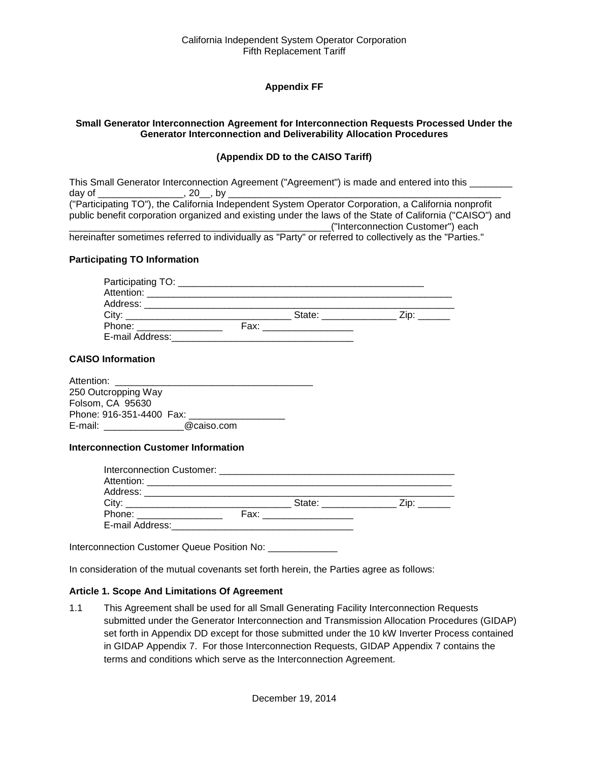## **Appendix FF**

#### <span id="page-3-2"></span><span id="page-3-1"></span><span id="page-3-0"></span>**Small Generator Interconnection Agreement for Interconnection Requests Processed Under the Generator Interconnection and Deliverability Allocation Procedures**

#### **(Appendix DD to the CAISO Tariff)**

|        |             | This Small Generator Interconnection Agreement ("Agreement") is made and entered into this                |
|--------|-------------|-----------------------------------------------------------------------------------------------------------|
| dav of | $, 20$ , by |                                                                                                           |
|        |             | ("Participating TO"), the California Independent System Operator Corporation, a California nonprofit      |
|        |             | public benefit corporation organized and existing under the laws of the State of California ("CAISO") and |
|        |             | ("Interconnection Customer") each                                                                         |
|        |             | borginattar comotimos referred to individually as "Darty" ar referred to collectively as the "Darties "   |

#### hereinafter sometimes referred to individually as "Party" or referred to collectively as the "Parties."

#### **Participating TO Information**

|                 | State: _________   | Zip: |
|-----------------|--------------------|------|
| Phone:          | Fax: _____________ |      |
| E-mail Address: |                    |      |

#### **CAISO Information**

| Attention:               |            |  |
|--------------------------|------------|--|
| 250 Outcropping Way      |            |  |
| Folsom, CA 95630         |            |  |
| Phone: 916-351-4400 Fax: |            |  |
| E-mail:                  | @caiso.com |  |

#### **Interconnection Customer Information**

|                            | State: ____________                                                                                                                                                                                                           | $\mathsf{Zip:}$ |
|----------------------------|-------------------------------------------------------------------------------------------------------------------------------------------------------------------------------------------------------------------------------|-----------------|
| Phone: ___________________ | Fax: ___________________                                                                                                                                                                                                      |                 |
| E-mail Address:            | the control of the control of the control of the control of the control of the control of the control of the control of the control of the control of the control of the control of the control of the control of the control |                 |

Interconnection Customer Queue Position No: \_\_\_\_\_\_\_\_\_\_\_\_\_\_\_

In consideration of the mutual covenants set forth herein, the Parties agree as follows:

#### <span id="page-3-3"></span>**Article 1. Scope And Limitations Of Agreement**

<span id="page-3-4"></span>1.1 This Agreement shall be used for all Small Generating Facility Interconnection Requests submitted under the Generator Interconnection and Transmission Allocation Procedures (GIDAP) set forth in Appendix DD except for those submitted under the 10 kW Inverter Process contained in GIDAP Appendix 7. For those Interconnection Requests, GIDAP Appendix 7 contains the terms and conditions which serve as the Interconnection Agreement.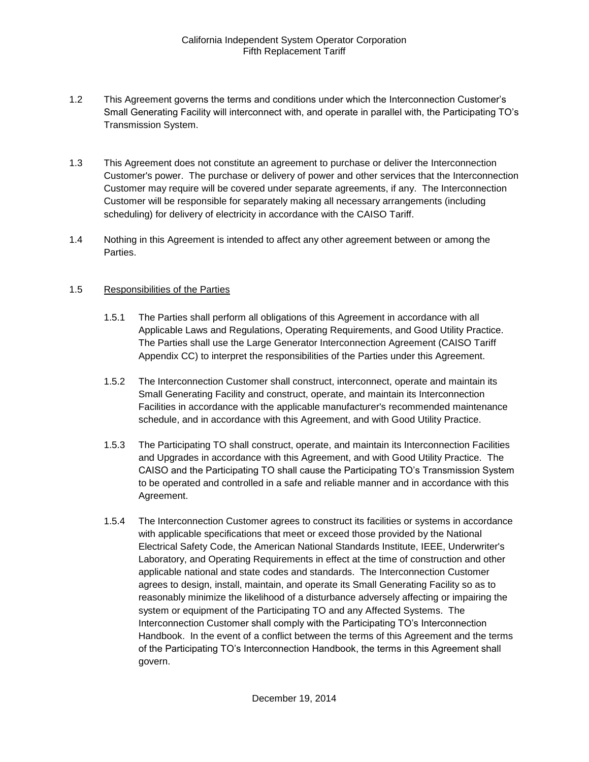- <span id="page-4-0"></span>1.2 This Agreement governs the terms and conditions under which the Interconnection Customer's Small Generating Facility will interconnect with, and operate in parallel with, the Participating TO's Transmission System.
- <span id="page-4-1"></span>1.3 This Agreement does not constitute an agreement to purchase or deliver the Interconnection Customer's power. The purchase or delivery of power and other services that the Interconnection Customer may require will be covered under separate agreements, if any. The Interconnection Customer will be responsible for separately making all necessary arrangements (including scheduling) for delivery of electricity in accordance with the CAISO Tariff.
- <span id="page-4-2"></span>1.4 Nothing in this Agreement is intended to affect any other agreement between or among the Parties.

#### <span id="page-4-3"></span>1.5 Responsibilities of the Parties

- 1.5.1 The Parties shall perform all obligations of this Agreement in accordance with all Applicable Laws and Regulations, Operating Requirements, and Good Utility Practice. The Parties shall use the Large Generator Interconnection Agreement (CAISO Tariff Appendix CC) to interpret the responsibilities of the Parties under this Agreement.
- 1.5.2 The Interconnection Customer shall construct, interconnect, operate and maintain its Small Generating Facility and construct, operate, and maintain its Interconnection Facilities in accordance with the applicable manufacturer's recommended maintenance schedule, and in accordance with this Agreement, and with Good Utility Practice.
- 1.5.3 The Participating TO shall construct, operate, and maintain its Interconnection Facilities and Upgrades in accordance with this Agreement, and with Good Utility Practice. The CAISO and the Participating TO shall cause the Participating TO's Transmission System to be operated and controlled in a safe and reliable manner and in accordance with this Agreement.
- 1.5.4 The Interconnection Customer agrees to construct its facilities or systems in accordance with applicable specifications that meet or exceed those provided by the National Electrical Safety Code, the American National Standards Institute, IEEE, Underwriter's Laboratory, and Operating Requirements in effect at the time of construction and other applicable national and state codes and standards. The Interconnection Customer agrees to design, install, maintain, and operate its Small Generating Facility so as to reasonably minimize the likelihood of a disturbance adversely affecting or impairing the system or equipment of the Participating TO and any Affected Systems. The Interconnection Customer shall comply with the Participating TO's Interconnection Handbook. In the event of a conflict between the terms of this Agreement and the terms of the Participating TO's Interconnection Handbook, the terms in this Agreement shall govern.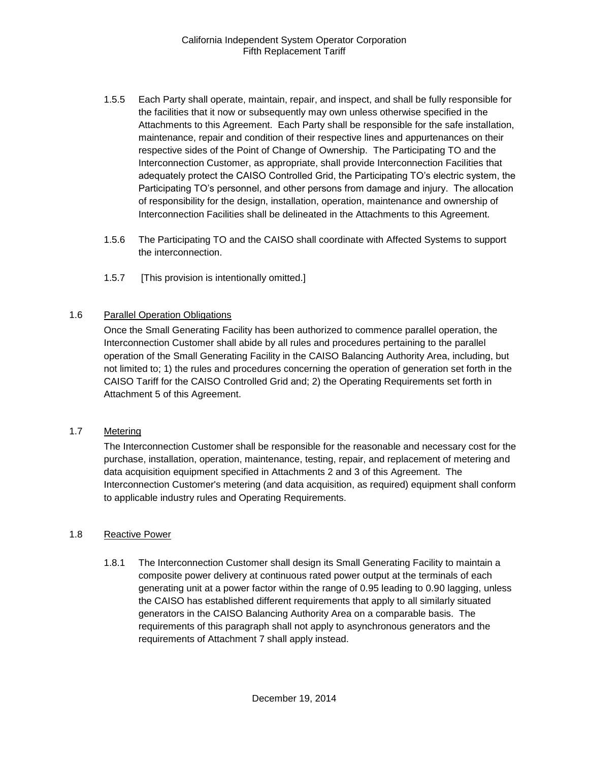- 1.5.5 Each Party shall operate, maintain, repair, and inspect, and shall be fully responsible for the facilities that it now or subsequently may own unless otherwise specified in the Attachments to this Agreement. Each Party shall be responsible for the safe installation, maintenance, repair and condition of their respective lines and appurtenances on their respective sides of the Point of Change of Ownership. The Participating TO and the Interconnection Customer, as appropriate, shall provide Interconnection Facilities that adequately protect the CAISO Controlled Grid, the Participating TO's electric system, the Participating TO's personnel, and other persons from damage and injury. The allocation of responsibility for the design, installation, operation, maintenance and ownership of Interconnection Facilities shall be delineated in the Attachments to this Agreement.
- 1.5.6 The Participating TO and the CAISO shall coordinate with Affected Systems to support the interconnection.
- 1.5.7 [This provision is intentionally omitted.]

#### <span id="page-5-0"></span>1.6 Parallel Operation Obligations

Once the Small Generating Facility has been authorized to commence parallel operation, the Interconnection Customer shall abide by all rules and procedures pertaining to the parallel operation of the Small Generating Facility in the CAISO Balancing Authority Area, including, but not limited to; 1) the rules and procedures concerning the operation of generation set forth in the CAISO Tariff for the CAISO Controlled Grid and; 2) the Operating Requirements set forth in Attachment 5 of this Agreement.

#### <span id="page-5-1"></span>1.7 Metering

The Interconnection Customer shall be responsible for the reasonable and necessary cost for the purchase, installation, operation, maintenance, testing, repair, and replacement of metering and data acquisition equipment specified in Attachments 2 and 3 of this Agreement. The Interconnection Customer's metering (and data acquisition, as required) equipment shall conform to applicable industry rules and Operating Requirements.

#### <span id="page-5-2"></span>1.8 Reactive Power

1.8.1 The Interconnection Customer shall design its Small Generating Facility to maintain a composite power delivery at continuous rated power output at the terminals of each generating unit at a power factor within the range of 0.95 leading to 0.90 lagging, unless the CAISO has established different requirements that apply to all similarly situated generators in the CAISO Balancing Authority Area on a comparable basis. The requirements of this paragraph shall not apply to asynchronous generators and the requirements of Attachment 7 shall apply instead.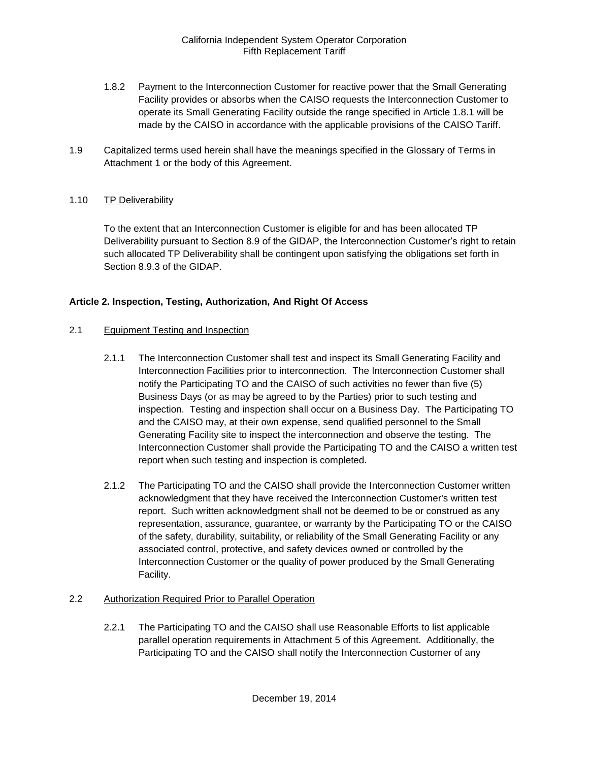- 1.8.2 Payment to the Interconnection Customer for reactive power that the Small Generating Facility provides or absorbs when the CAISO requests the Interconnection Customer to operate its Small Generating Facility outside the range specified in Article 1.8.1 will be made by the CAISO in accordance with the applicable provisions of the CAISO Tariff.
- <span id="page-6-0"></span>1.9 Capitalized terms used herein shall have the meanings specified in the Glossary of Terms in Attachment 1 or the body of this Agreement.

#### <span id="page-6-1"></span>1.10 TP Deliverability

To the extent that an Interconnection Customer is eligible for and has been allocated TP Deliverability pursuant to Section 8.9 of the GIDAP, the Interconnection Customer's right to retain such allocated TP Deliverability shall be contingent upon satisfying the obligations set forth in Section 8.9.3 of the GIDAP.

## <span id="page-6-2"></span>**Article 2. Inspection, Testing, Authorization, And Right Of Access**

#### <span id="page-6-3"></span>2.1 Equipment Testing and Inspection

- 2.1.1 The Interconnection Customer shall test and inspect its Small Generating Facility and Interconnection Facilities prior to interconnection. The Interconnection Customer shall notify the Participating TO and the CAISO of such activities no fewer than five (5) Business Days (or as may be agreed to by the Parties) prior to such testing and inspection. Testing and inspection shall occur on a Business Day. The Participating TO and the CAISO may, at their own expense, send qualified personnel to the Small Generating Facility site to inspect the interconnection and observe the testing. The Interconnection Customer shall provide the Participating TO and the CAISO a written test report when such testing and inspection is completed.
- 2.1.2 The Participating TO and the CAISO shall provide the Interconnection Customer written acknowledgment that they have received the Interconnection Customer's written test report. Such written acknowledgment shall not be deemed to be or construed as any representation, assurance, guarantee, or warranty by the Participating TO or the CAISO of the safety, durability, suitability, or reliability of the Small Generating Facility or any associated control, protective, and safety devices owned or controlled by the Interconnection Customer or the quality of power produced by the Small Generating Facility.

#### <span id="page-6-4"></span>2.2 Authorization Required Prior to Parallel Operation

2.2.1 The Participating TO and the CAISO shall use Reasonable Efforts to list applicable parallel operation requirements in Attachment 5 of this Agreement. Additionally, the Participating TO and the CAISO shall notify the Interconnection Customer of any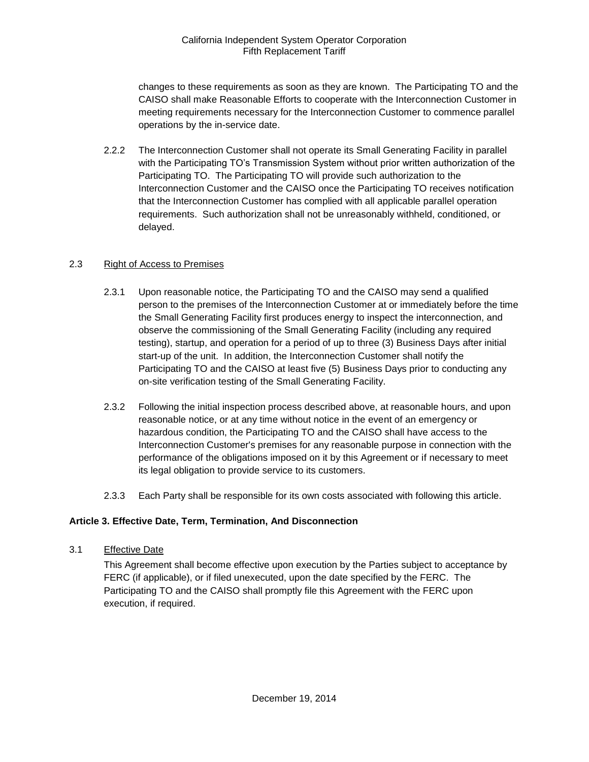changes to these requirements as soon as they are known. The Participating TO and the CAISO shall make Reasonable Efforts to cooperate with the Interconnection Customer in meeting requirements necessary for the Interconnection Customer to commence parallel operations by the in-service date.

2.2.2 The Interconnection Customer shall not operate its Small Generating Facility in parallel with the Participating TO's Transmission System without prior written authorization of the Participating TO. The Participating TO will provide such authorization to the Interconnection Customer and the CAISO once the Participating TO receives notification that the Interconnection Customer has complied with all applicable parallel operation requirements. Such authorization shall not be unreasonably withheld, conditioned, or delayed.

## <span id="page-7-0"></span>2.3 Right of Access to Premises

- 2.3.1 Upon reasonable notice, the Participating TO and the CAISO may send a qualified person to the premises of the Interconnection Customer at or immediately before the time the Small Generating Facility first produces energy to inspect the interconnection, and observe the commissioning of the Small Generating Facility (including any required testing), startup, and operation for a period of up to three (3) Business Days after initial start-up of the unit. In addition, the Interconnection Customer shall notify the Participating TO and the CAISO at least five (5) Business Days prior to conducting any on-site verification testing of the Small Generating Facility.
- 2.3.2 Following the initial inspection process described above, at reasonable hours, and upon reasonable notice, or at any time without notice in the event of an emergency or hazardous condition, the Participating TO and the CAISO shall have access to the Interconnection Customer's premises for any reasonable purpose in connection with the performance of the obligations imposed on it by this Agreement or if necessary to meet its legal obligation to provide service to its customers.
- 2.3.3 Each Party shall be responsible for its own costs associated with following this article.

## <span id="page-7-1"></span>**Article 3. Effective Date, Term, Termination, And Disconnection**

<span id="page-7-2"></span>3.1 Effective Date

This Agreement shall become effective upon execution by the Parties subject to acceptance by FERC (if applicable), or if filed unexecuted, upon the date specified by the FERC. The Participating TO and the CAISO shall promptly file this Agreement with the FERC upon execution, if required.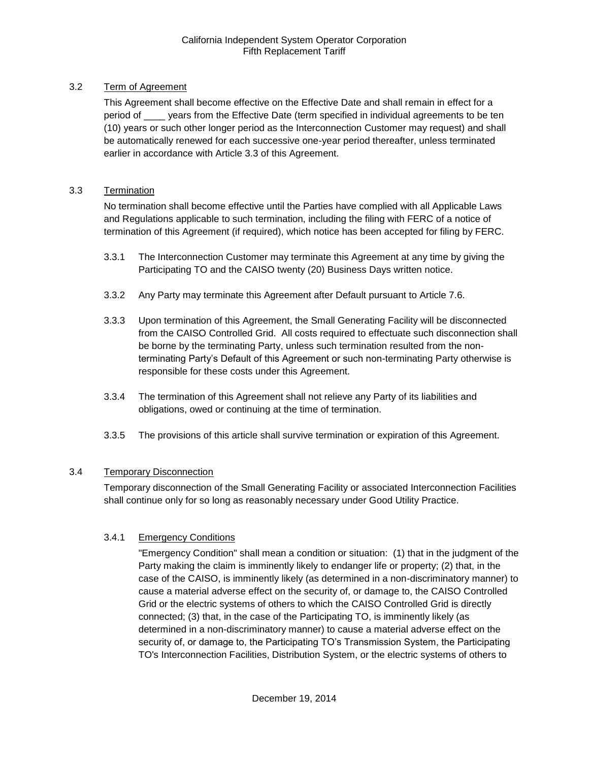## <span id="page-8-0"></span>3.2 Term of Agreement

This Agreement shall become effective on the Effective Date and shall remain in effect for a period of \_\_\_\_ years from the Effective Date (term specified in individual agreements to be ten (10) years or such other longer period as the Interconnection Customer may request) and shall be automatically renewed for each successive one-year period thereafter, unless terminated earlier in accordance with Article 3.3 of this Agreement.

## <span id="page-8-1"></span>3.3 Termination

No termination shall become effective until the Parties have complied with all Applicable Laws and Regulations applicable to such termination, including the filing with FERC of a notice of termination of this Agreement (if required), which notice has been accepted for filing by FERC.

- 3.3.1 The Interconnection Customer may terminate this Agreement at any time by giving the Participating TO and the CAISO twenty (20) Business Days written notice.
- 3.3.2 Any Party may terminate this Agreement after Default pursuant to Article 7.6.
- 3.3.3 Upon termination of this Agreement, the Small Generating Facility will be disconnected from the CAISO Controlled Grid. All costs required to effectuate such disconnection shall be borne by the terminating Party, unless such termination resulted from the nonterminating Party's Default of this Agreement or such non-terminating Party otherwise is responsible for these costs under this Agreement.
- 3.3.4 The termination of this Agreement shall not relieve any Party of its liabilities and obligations, owed or continuing at the time of termination.
- 3.3.5 The provisions of this article shall survive termination or expiration of this Agreement.

## <span id="page-8-2"></span>3.4 Temporary Disconnection

Temporary disconnection of the Small Generating Facility or associated Interconnection Facilities shall continue only for so long as reasonably necessary under Good Utility Practice.

## 3.4.1 Emergency Conditions

"Emergency Condition" shall mean a condition or situation: (1) that in the judgment of the Party making the claim is imminently likely to endanger life or property; (2) that, in the case of the CAISO, is imminently likely (as determined in a non-discriminatory manner) to cause a material adverse effect on the security of, or damage to, the CAISO Controlled Grid or the electric systems of others to which the CAISO Controlled Grid is directly connected; (3) that, in the case of the Participating TO, is imminently likely (as determined in a non-discriminatory manner) to cause a material adverse effect on the security of, or damage to, the Participating TO's Transmission System, the Participating TO's Interconnection Facilities, Distribution System, or the electric systems of others to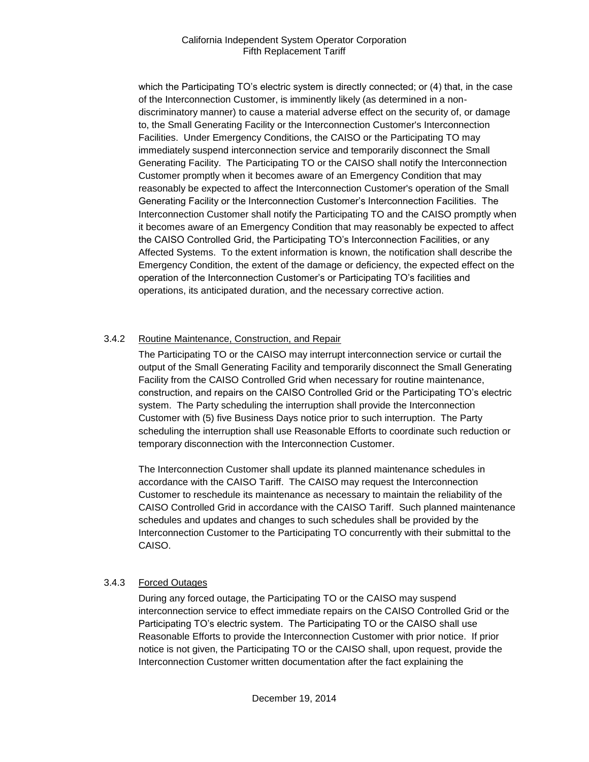which the Participating TO's electric system is directly connected; or (4) that, in the case of the Interconnection Customer, is imminently likely (as determined in a nondiscriminatory manner) to cause a material adverse effect on the security of, or damage to, the Small Generating Facility or the Interconnection Customer's Interconnection Facilities. Under Emergency Conditions, the CAISO or the Participating TO may immediately suspend interconnection service and temporarily disconnect the Small Generating Facility. The Participating TO or the CAISO shall notify the Interconnection Customer promptly when it becomes aware of an Emergency Condition that may reasonably be expected to affect the Interconnection Customer's operation of the Small Generating Facility or the Interconnection Customer's Interconnection Facilities. The Interconnection Customer shall notify the Participating TO and the CAISO promptly when it becomes aware of an Emergency Condition that may reasonably be expected to affect the CAISO Controlled Grid, the Participating TO's Interconnection Facilities, or any Affected Systems. To the extent information is known, the notification shall describe the Emergency Condition, the extent of the damage or deficiency, the expected effect on the operation of the Interconnection Customer's or Participating TO's facilities and operations, its anticipated duration, and the necessary corrective action.

## 3.4.2 Routine Maintenance, Construction, and Repair

The Participating TO or the CAISO may interrupt interconnection service or curtail the output of the Small Generating Facility and temporarily disconnect the Small Generating Facility from the CAISO Controlled Grid when necessary for routine maintenance, construction, and repairs on the CAISO Controlled Grid or the Participating TO's electric system. The Party scheduling the interruption shall provide the Interconnection Customer with (5) five Business Days notice prior to such interruption. The Party scheduling the interruption shall use Reasonable Efforts to coordinate such reduction or temporary disconnection with the Interconnection Customer.

The Interconnection Customer shall update its planned maintenance schedules in accordance with the CAISO Tariff. The CAISO may request the Interconnection Customer to reschedule its maintenance as necessary to maintain the reliability of the CAISO Controlled Grid in accordance with the CAISO Tariff. Such planned maintenance schedules and updates and changes to such schedules shall be provided by the Interconnection Customer to the Participating TO concurrently with their submittal to the CAISO.

#### 3.4.3 Forced Outages

During any forced outage, the Participating TO or the CAISO may suspend interconnection service to effect immediate repairs on the CAISO Controlled Grid or the Participating TO's electric system. The Participating TO or the CAISO shall use Reasonable Efforts to provide the Interconnection Customer with prior notice. If prior notice is not given, the Participating TO or the CAISO shall, upon request, provide the Interconnection Customer written documentation after the fact explaining the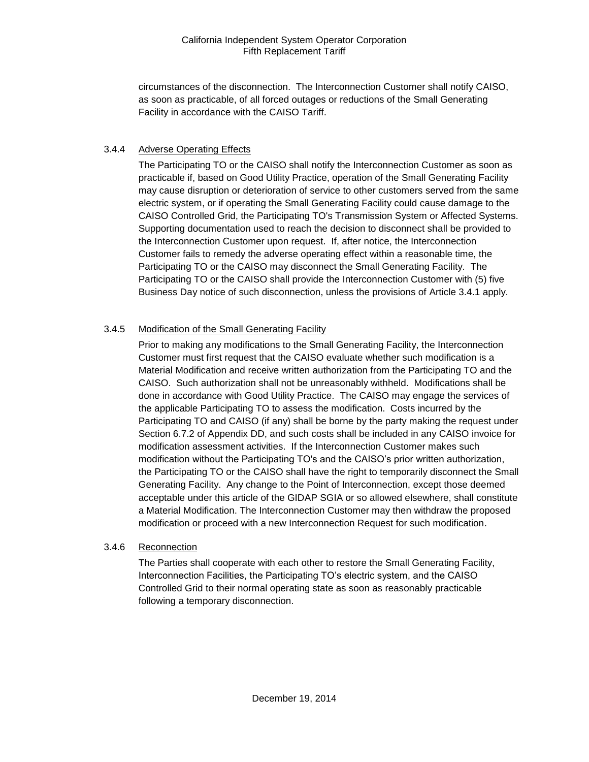circumstances of the disconnection. The Interconnection Customer shall notify CAISO, as soon as practicable, of all forced outages or reductions of the Small Generating Facility in accordance with the CAISO Tariff.

## 3.4.4 Adverse Operating Effects

The Participating TO or the CAISO shall notify the Interconnection Customer as soon as practicable if, based on Good Utility Practice, operation of the Small Generating Facility may cause disruption or deterioration of service to other customers served from the same electric system, or if operating the Small Generating Facility could cause damage to the CAISO Controlled Grid, the Participating TO's Transmission System or Affected Systems. Supporting documentation used to reach the decision to disconnect shall be provided to the Interconnection Customer upon request. If, after notice, the Interconnection Customer fails to remedy the adverse operating effect within a reasonable time, the Participating TO or the CAISO may disconnect the Small Generating Facility. The Participating TO or the CAISO shall provide the Interconnection Customer with (5) five Business Day notice of such disconnection, unless the provisions of Article 3.4.1 apply.

## 3.4.5 Modification of the Small Generating Facility

Prior to making any modifications to the Small Generating Facility, the Interconnection Customer must first request that the CAISO evaluate whether such modification is a Material Modification and receive written authorization from the Participating TO and the CAISO. Such authorization shall not be unreasonably withheld. Modifications shall be done in accordance with Good Utility Practice. The CAISO may engage the services of the applicable Participating TO to assess the modification. Costs incurred by the Participating TO and CAISO (if any) shall be borne by the party making the request under Section 6.7.2 of Appendix DD, and such costs shall be included in any CAISO invoice for modification assessment activities. If the Interconnection Customer makes such modification without the Participating TO's and the CAISO's prior written authorization, the Participating TO or the CAISO shall have the right to temporarily disconnect the Small Generating Facility. Any change to the Point of Interconnection, except those deemed acceptable under this article of the GIDAP SGIA or so allowed elsewhere, shall constitute a Material Modification. The Interconnection Customer may then withdraw the proposed modification or proceed with a new Interconnection Request for such modification.

#### 3.4.6 Reconnection

The Parties shall cooperate with each other to restore the Small Generating Facility, Interconnection Facilities, the Participating TO's electric system, and the CAISO Controlled Grid to their normal operating state as soon as reasonably practicable following a temporary disconnection.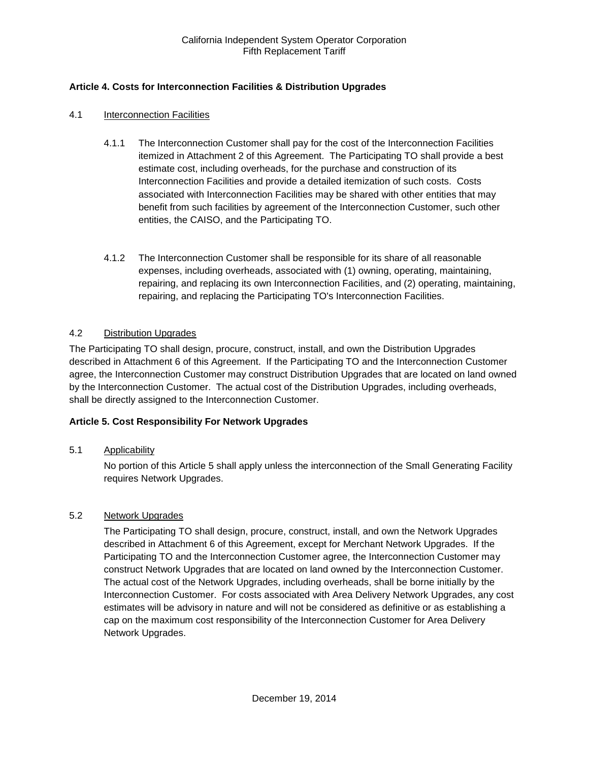## <span id="page-11-0"></span>**Article 4. Costs for Interconnection Facilities & Distribution Upgrades**

#### <span id="page-11-1"></span>4.1 Interconnection Facilities

- 4.1.1 The Interconnection Customer shall pay for the cost of the Interconnection Facilities itemized in Attachment 2 of this Agreement. The Participating TO shall provide a best estimate cost, including overheads, for the purchase and construction of its Interconnection Facilities and provide a detailed itemization of such costs. Costs associated with Interconnection Facilities may be shared with other entities that may benefit from such facilities by agreement of the Interconnection Customer, such other entities, the CAISO, and the Participating TO.
- 4.1.2 The Interconnection Customer shall be responsible for its share of all reasonable expenses, including overheads, associated with (1) owning, operating, maintaining, repairing, and replacing its own Interconnection Facilities, and (2) operating, maintaining, repairing, and replacing the Participating TO's Interconnection Facilities.

#### <span id="page-11-2"></span>4.2 Distribution Upgrades

The Participating TO shall design, procure, construct, install, and own the Distribution Upgrades described in Attachment 6 of this Agreement. If the Participating TO and the Interconnection Customer agree, the Interconnection Customer may construct Distribution Upgrades that are located on land owned by the Interconnection Customer. The actual cost of the Distribution Upgrades, including overheads, shall be directly assigned to the Interconnection Customer.

#### <span id="page-11-3"></span>**Article 5. Cost Responsibility For Network Upgrades**

#### <span id="page-11-4"></span>5.1 Applicability

No portion of this Article 5 shall apply unless the interconnection of the Small Generating Facility requires Network Upgrades.

#### <span id="page-11-5"></span>5.2 Network Upgrades

The Participating TO shall design, procure, construct, install, and own the Network Upgrades described in Attachment 6 of this Agreement, except for Merchant Network Upgrades. If the Participating TO and the Interconnection Customer agree, the Interconnection Customer may construct Network Upgrades that are located on land owned by the Interconnection Customer. The actual cost of the Network Upgrades, including overheads, shall be borne initially by the Interconnection Customer. For costs associated with Area Delivery Network Upgrades, any cost estimates will be advisory in nature and will not be considered as definitive or as establishing a cap on the maximum cost responsibility of the Interconnection Customer for Area Delivery Network Upgrades.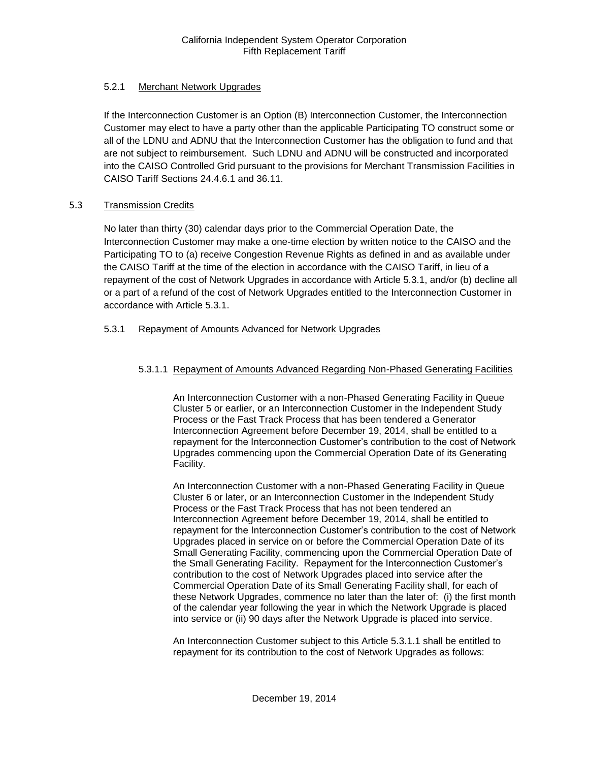## 5.2.1 Merchant Network Upgrades

If the Interconnection Customer is an Option (B) Interconnection Customer, the Interconnection Customer may elect to have a party other than the applicable Participating TO construct some or all of the LDNU and ADNU that the Interconnection Customer has the obligation to fund and that are not subject to reimbursement. Such LDNU and ADNU will be constructed and incorporated into the CAISO Controlled Grid pursuant to the provisions for Merchant Transmission Facilities in CAISO Tariff Sections 24.4.6.1 and 36.11.

## 5.3 Transmission Credits

No later than thirty (30) calendar days prior to the Commercial Operation Date, the Interconnection Customer may make a one-time election by written notice to the CAISO and the Participating TO to (a) receive Congestion Revenue Rights as defined in and as available under the CAISO Tariff at the time of the election in accordance with the CAISO Tariff, in lieu of a repayment of the cost of Network Upgrades in accordance with Article 5.3.1, and/or (b) decline all or a part of a refund of the cost of Network Upgrades entitled to the Interconnection Customer in accordance with Article 5.3.1.

## 5.3.1 Repayment of Amounts Advanced for Network Upgrades

## 5.3.1.1 Repayment of Amounts Advanced Regarding Non-Phased Generating Facilities

An Interconnection Customer with a non-Phased Generating Facility in Queue Cluster 5 or earlier, or an Interconnection Customer in the Independent Study Process or the Fast Track Process that has been tendered a Generator Interconnection Agreement before December 19, 2014, shall be entitled to a repayment for the Interconnection Customer's contribution to the cost of Network Upgrades commencing upon the Commercial Operation Date of its Generating Facility.

An Interconnection Customer with a non-Phased Generating Facility in Queue Cluster 6 or later, or an Interconnection Customer in the Independent Study Process or the Fast Track Process that has not been tendered an Interconnection Agreement before December 19, 2014, shall be entitled to repayment for the Interconnection Customer's contribution to the cost of Network Upgrades placed in service on or before the Commercial Operation Date of its Small Generating Facility, commencing upon the Commercial Operation Date of the Small Generating Facility. Repayment for the Interconnection Customer's contribution to the cost of Network Upgrades placed into service after the Commercial Operation Date of its Small Generating Facility shall, for each of these Network Upgrades, commence no later than the later of: (i) the first month of the calendar year following the year in which the Network Upgrade is placed into service or (ii) 90 days after the Network Upgrade is placed into service.

An Interconnection Customer subject to this Article 5.3.1.1 shall be entitled to repayment for its contribution to the cost of Network Upgrades as follows: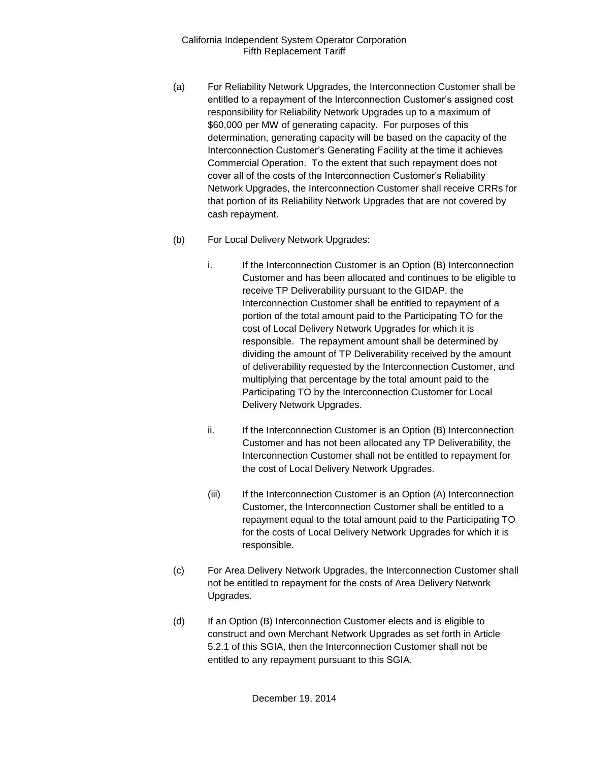- (a) For Reliability Network Upgrades, the Interconnection Customer shall be entitled to a repayment of the Interconnection Customer's assigned cost responsibility for Reliability Network Upgrades up to a maximum of \$60,000 per MW of generating capacity. For purposes of this determination, generating capacity will be based on the capacity of the Interconnection Customer's Generating Facility at the time it achieves Commercial Operation. To the extent that such repayment does not cover all of the costs of the Interconnection Customer's Reliability Network Upgrades, the Interconnection Customer shall receive CRRs for that portion of its Reliability Network Upgrades that are not covered by cash repayment.
- (b) For Local Delivery Network Upgrades:
	- i. If the Interconnection Customer is an Option (B) Interconnection Customer and has been allocated and continues to be eligible to receive TP Deliverability pursuant to the GIDAP, the Interconnection Customer shall be entitled to repayment of a portion of the total amount paid to the Participating TO for the cost of Local Delivery Network Upgrades for which it is responsible. The repayment amount shall be determined by dividing the amount of TP Deliverability received by the amount of deliverability requested by the Interconnection Customer, and multiplying that percentage by the total amount paid to the Participating TO by the Interconnection Customer for Local Delivery Network Upgrades.
	- ii. If the Interconnection Customer is an Option (B) Interconnection Customer and has not been allocated any TP Deliverability, the Interconnection Customer shall not be entitled to repayment for the cost of Local Delivery Network Upgrades.
	- (iii) If the Interconnection Customer is an Option (A) Interconnection Customer, the Interconnection Customer shall be entitled to a repayment equal to the total amount paid to the Participating TO for the costs of Local Delivery Network Upgrades for which it is responsible.
- (c) For Area Delivery Network Upgrades, the Interconnection Customer shall not be entitled to repayment for the costs of Area Delivery Network Upgrades.
- (d) If an Option (B) Interconnection Customer elects and is eligible to construct and own Merchant Network Upgrades as set forth in Article 5.2.1 of this SGIA, then the Interconnection Customer shall not be entitled to any repayment pursuant to this SGIA.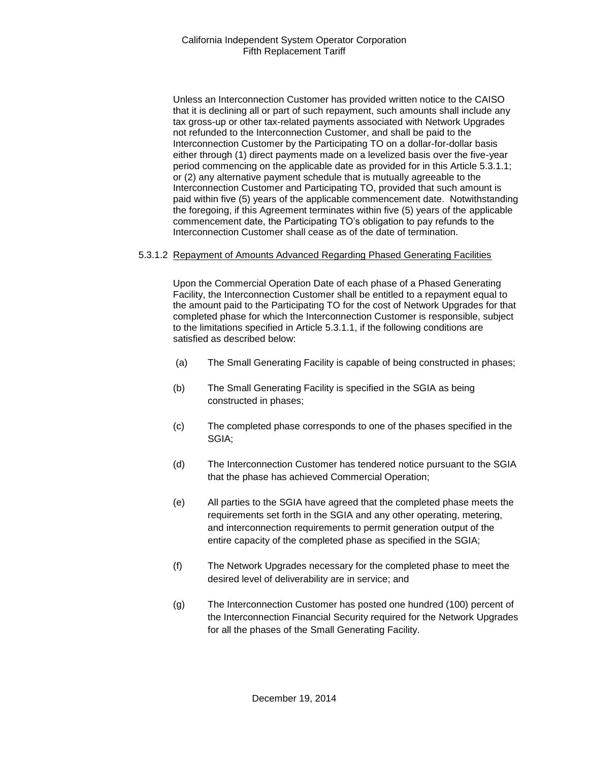Unless an Interconnection Customer has provided written notice to the CAISO that it is declining all or part of such repayment, such amounts shall include any tax gross-up or other tax-related payments associated with Network Upgrades not refunded to the Interconnection Customer, and shall be paid to the Interconnection Customer by the Participating TO on a dollar-for-dollar basis either through (1) direct payments made on a levelized basis over the five-year period commencing on the applicable date as provided for in this Article 5.3.1.1; or (2) any alternative payment schedule that is mutually agreeable to the Interconnection Customer and Participating TO, provided that such amount is paid within five (5) years of the applicable commencement date. Notwithstanding the foregoing, if this Agreement terminates within five (5) years of the applicable commencement date, the Participating TO's obligation to pay refunds to the Interconnection Customer shall cease as of the date of termination.

#### 5.3.1.2 Repayment of Amounts Advanced Regarding Phased Generating Facilities

Upon the Commercial Operation Date of each phase of a Phased Generating Facility, the Interconnection Customer shall be entitled to a repayment equal to the amount paid to the Participating TO for the cost of Network Upgrades for that completed phase for which the Interconnection Customer is responsible, subject to the limitations specified in Article 5.3.1.1, if the following conditions are satisfied as described below:

- (a) The Small Generating Facility is capable of being constructed in phases;
- (b) The Small Generating Facility is specified in the SGIA as being constructed in phases;
- (c) The completed phase corresponds to one of the phases specified in the SGIA;
- (d) The Interconnection Customer has tendered notice pursuant to the SGIA that the phase has achieved Commercial Operation;
- (e) All parties to the SGIA have agreed that the completed phase meets the requirements set forth in the SGIA and any other operating, metering, and interconnection requirements to permit generation output of the entire capacity of the completed phase as specified in the SGIA;
- (f) The Network Upgrades necessary for the completed phase to meet the desired level of deliverability are in service; and
- (g) The Interconnection Customer has posted one hundred (100) percent of the Interconnection Financial Security required for the Network Upgrades for all the phases of the Small Generating Facility.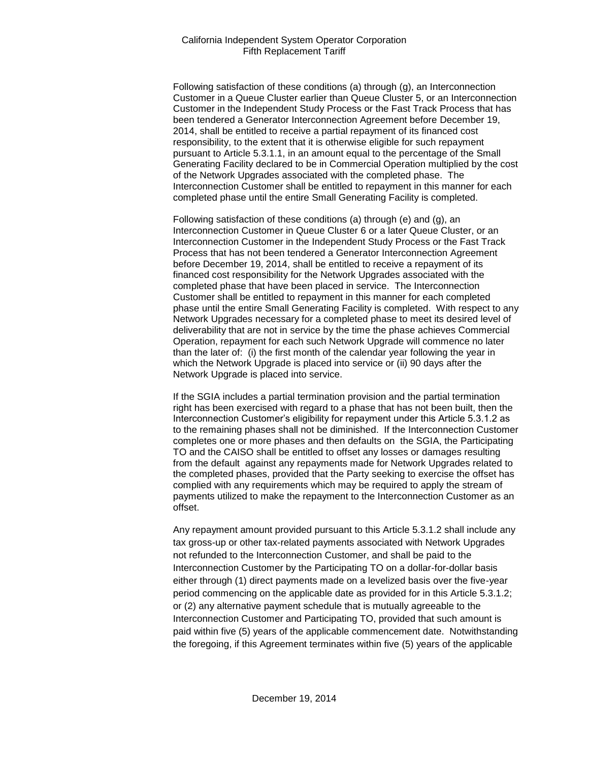Following satisfaction of these conditions (a) through (g), an Interconnection Customer in a Queue Cluster earlier than Queue Cluster 5, or an Interconnection Customer in the Independent Study Process or the Fast Track Process that has been tendered a Generator Interconnection Agreement before December 19, 2014, shall be entitled to receive a partial repayment of its financed cost responsibility, to the extent that it is otherwise eligible for such repayment pursuant to Article 5.3.1.1, in an amount equal to the percentage of the Small Generating Facility declared to be in Commercial Operation multiplied by the cost of the Network Upgrades associated with the completed phase. The Interconnection Customer shall be entitled to repayment in this manner for each completed phase until the entire Small Generating Facility is completed.

Following satisfaction of these conditions (a) through (e) and (g), an Interconnection Customer in Queue Cluster 6 or a later Queue Cluster, or an Interconnection Customer in the Independent Study Process or the Fast Track Process that has not been tendered a Generator Interconnection Agreement before December 19, 2014, shall be entitled to receive a repayment of its financed cost responsibility for the Network Upgrades associated with the completed phase that have been placed in service. The Interconnection Customer shall be entitled to repayment in this manner for each completed phase until the entire Small Generating Facility is completed. With respect to any Network Upgrades necessary for a completed phase to meet its desired level of deliverability that are not in service by the time the phase achieves Commercial Operation, repayment for each such Network Upgrade will commence no later than the later of: (i) the first month of the calendar year following the year in which the Network Upgrade is placed into service or (ii) 90 days after the Network Upgrade is placed into service.

If the SGIA includes a partial termination provision and the partial termination right has been exercised with regard to a phase that has not been built, then the Interconnection Customer's eligibility for repayment under this Article 5.3.1.2 as to the remaining phases shall not be diminished. If the Interconnection Customer completes one or more phases and then defaults on the SGIA, the Participating TO and the CAISO shall be entitled to offset any losses or damages resulting from the default against any repayments made for Network Upgrades related to the completed phases, provided that the Party seeking to exercise the offset has complied with any requirements which may be required to apply the stream of payments utilized to make the repayment to the Interconnection Customer as an offset.

Any repayment amount provided pursuant to this Article 5.3.1.2 shall include any tax gross-up or other tax-related payments associated with Network Upgrades not refunded to the Interconnection Customer, and shall be paid to the Interconnection Customer by the Participating TO on a dollar-for-dollar basis either through (1) direct payments made on a levelized basis over the five-year period commencing on the applicable date as provided for in this Article 5.3.1.2; or (2) any alternative payment schedule that is mutually agreeable to the Interconnection Customer and Participating TO, provided that such amount is paid within five (5) years of the applicable commencement date. Notwithstanding the foregoing, if this Agreement terminates within five (5) years of the applicable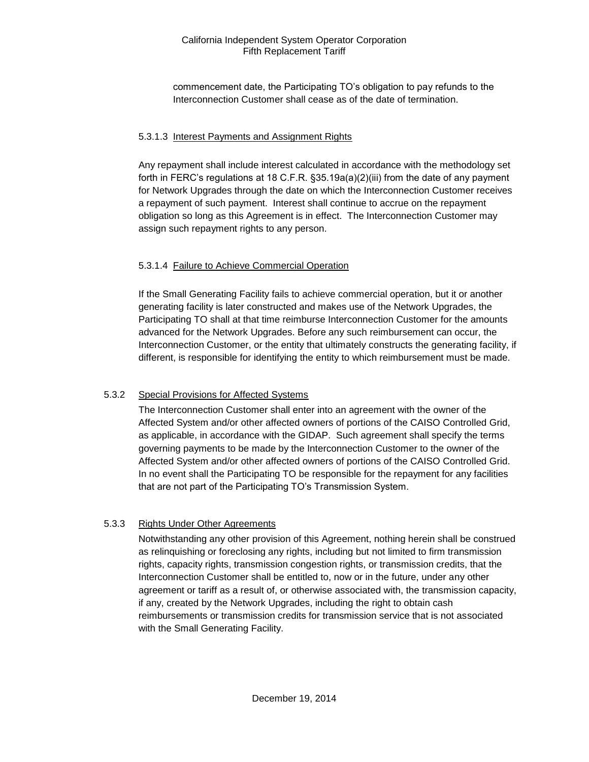commencement date, the Participating TO's obligation to pay refunds to the Interconnection Customer shall cease as of the date of termination.

## 5.3.1.3 Interest Payments and Assignment Rights

Any repayment shall include interest calculated in accordance with the methodology set forth in FERC's regulations at 18 C.F.R. §35.19a(a)(2)(iii) from the date of any payment for Network Upgrades through the date on which the Interconnection Customer receives a repayment of such payment. Interest shall continue to accrue on the repayment obligation so long as this Agreement is in effect. The Interconnection Customer may assign such repayment rights to any person.

## 5.3.1.4 Failure to Achieve Commercial Operation

If the Small Generating Facility fails to achieve commercial operation, but it or another generating facility is later constructed and makes use of the Network Upgrades, the Participating TO shall at that time reimburse Interconnection Customer for the amounts advanced for the Network Upgrades. Before any such reimbursement can occur, the Interconnection Customer, or the entity that ultimately constructs the generating facility, if different, is responsible for identifying the entity to which reimbursement must be made.

## 5.3.2 Special Provisions for Affected Systems

The Interconnection Customer shall enter into an agreement with the owner of the Affected System and/or other affected owners of portions of the CAISO Controlled Grid, as applicable, in accordance with the GIDAP. Such agreement shall specify the terms governing payments to be made by the Interconnection Customer to the owner of the Affected System and/or other affected owners of portions of the CAISO Controlled Grid. In no event shall the Participating TO be responsible for the repayment for any facilities that are not part of the Participating TO's Transmission System.

## 5.3.3 Rights Under Other Agreements

Notwithstanding any other provision of this Agreement, nothing herein shall be construed as relinquishing or foreclosing any rights, including but not limited to firm transmission rights, capacity rights, transmission congestion rights, or transmission credits, that the Interconnection Customer shall be entitled to, now or in the future, under any other agreement or tariff as a result of, or otherwise associated with, the transmission capacity, if any, created by the Network Upgrades, including the right to obtain cash reimbursements or transmission credits for transmission service that is not associated with the Small Generating Facility.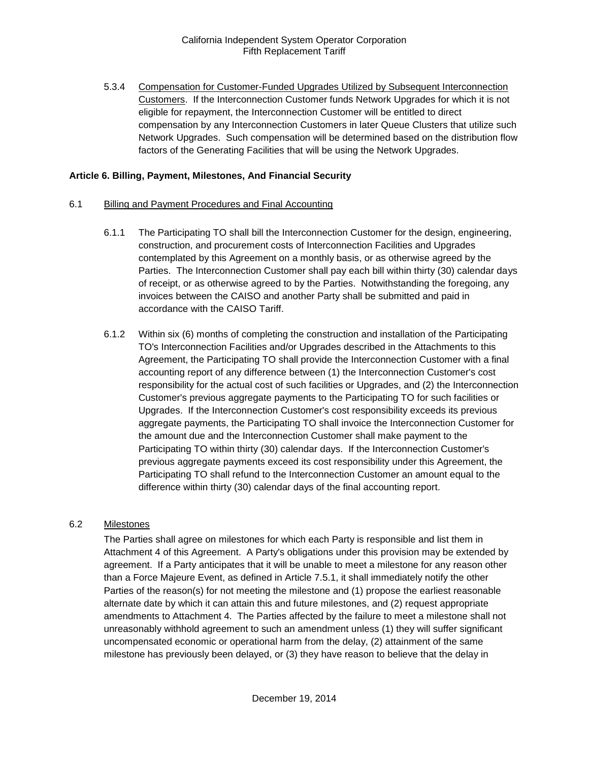5.3.4 Compensation for Customer-Funded Upgrades Utilized by Subsequent Interconnection Customers. If the Interconnection Customer funds Network Upgrades for which it is not eligible for repayment, the Interconnection Customer will be entitled to direct compensation by any Interconnection Customers in later Queue Clusters that utilize such Network Upgrades. Such compensation will be determined based on the distribution flow factors of the Generating Facilities that will be using the Network Upgrades.

#### <span id="page-17-0"></span>**Article 6. Billing, Payment, Milestones, And Financial Security**

- <span id="page-17-1"></span>6.1 Billing and Payment Procedures and Final Accounting
	- 6.1.1 The Participating TO shall bill the Interconnection Customer for the design, engineering, construction, and procurement costs of Interconnection Facilities and Upgrades contemplated by this Agreement on a monthly basis, or as otherwise agreed by the Parties. The Interconnection Customer shall pay each bill within thirty (30) calendar days of receipt, or as otherwise agreed to by the Parties. Notwithstanding the foregoing, any invoices between the CAISO and another Party shall be submitted and paid in accordance with the CAISO Tariff.
	- 6.1.2 Within six (6) months of completing the construction and installation of the Participating TO's Interconnection Facilities and/or Upgrades described in the Attachments to this Agreement, the Participating TO shall provide the Interconnection Customer with a final accounting report of any difference between (1) the Interconnection Customer's cost responsibility for the actual cost of such facilities or Upgrades, and (2) the Interconnection Customer's previous aggregate payments to the Participating TO for such facilities or Upgrades. If the Interconnection Customer's cost responsibility exceeds its previous aggregate payments, the Participating TO shall invoice the Interconnection Customer for the amount due and the Interconnection Customer shall make payment to the Participating TO within thirty (30) calendar days. If the Interconnection Customer's previous aggregate payments exceed its cost responsibility under this Agreement, the Participating TO shall refund to the Interconnection Customer an amount equal to the difference within thirty (30) calendar days of the final accounting report.

## <span id="page-17-2"></span>6.2 Milestones

The Parties shall agree on milestones for which each Party is responsible and list them in Attachment 4 of this Agreement. A Party's obligations under this provision may be extended by agreement. If a Party anticipates that it will be unable to meet a milestone for any reason other than a Force Majeure Event, as defined in Article 7.5.1, it shall immediately notify the other Parties of the reason(s) for not meeting the milestone and (1) propose the earliest reasonable alternate date by which it can attain this and future milestones, and (2) request appropriate amendments to Attachment 4. The Parties affected by the failure to meet a milestone shall not unreasonably withhold agreement to such an amendment unless (1) they will suffer significant uncompensated economic or operational harm from the delay, (2) attainment of the same milestone has previously been delayed, or (3) they have reason to believe that the delay in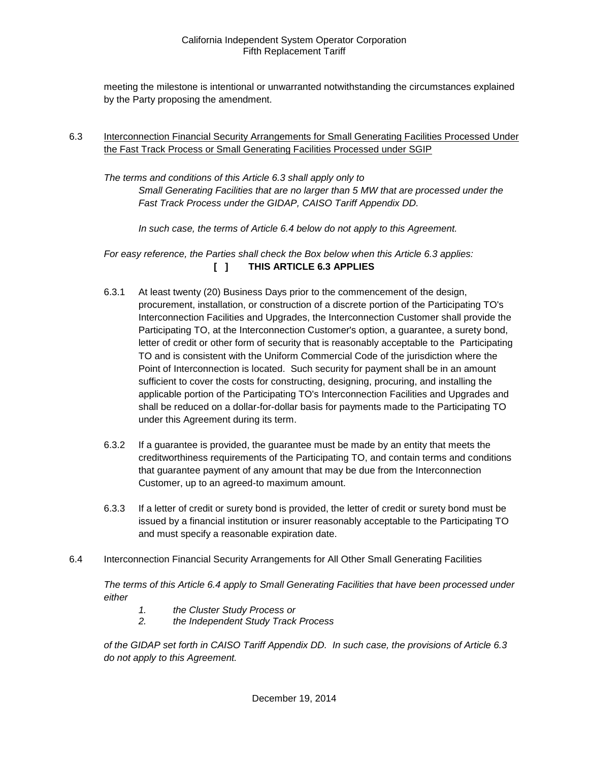meeting the milestone is intentional or unwarranted notwithstanding the circumstances explained by the Party proposing the amendment.

<span id="page-18-0"></span>6.3 Interconnection Financial Security Arrangements for Small Generating Facilities Processed Under the Fast Track Process or Small Generating Facilities Processed under SGIP

*The terms and conditions of this Article 6.3 shall apply only to Small Generating Facilities that are no larger than 5 MW that are processed under the Fast Track Process under the GIDAP, CAISO Tariff Appendix DD.*

*In such case, the terms of Article 6.4 below do not apply to this Agreement.*

*For easy reference, the Parties shall check the Box below when this Article 6.3 applies:*  **[ ] THIS ARTICLE 6.3 APPLIES**

- 6.3.1 At least twenty (20) Business Days prior to the commencement of the design, procurement, installation, or construction of a discrete portion of the Participating TO's Interconnection Facilities and Upgrades, the Interconnection Customer shall provide the Participating TO, at the Interconnection Customer's option, a guarantee, a surety bond, letter of credit or other form of security that is reasonably acceptable to the Participating TO and is consistent with the Uniform Commercial Code of the jurisdiction where the Point of Interconnection is located. Such security for payment shall be in an amount sufficient to cover the costs for constructing, designing, procuring, and installing the applicable portion of the Participating TO's Interconnection Facilities and Upgrades and shall be reduced on a dollar-for-dollar basis for payments made to the Participating TO under this Agreement during its term.
- 6.3.2 If a guarantee is provided, the guarantee must be made by an entity that meets the creditworthiness requirements of the Participating TO, and contain terms and conditions that guarantee payment of any amount that may be due from the Interconnection Customer, up to an agreed-to maximum amount.
- 6.3.3 If a letter of credit or surety bond is provided, the letter of credit or surety bond must be issued by a financial institution or insurer reasonably acceptable to the Participating TO and must specify a reasonable expiration date.
- <span id="page-18-1"></span>6.4 Interconnection Financial Security Arrangements for All Other Small Generating Facilities

*The terms of this Article 6.4 apply to Small Generating Facilities that have been processed under either* 

- *1. the Cluster Study Process or*
- *2. the Independent Study Track Process*

*of the GIDAP set forth in CAISO Tariff Appendix DD. In such case, the provisions of Article 6.3 do not apply to this Agreement.*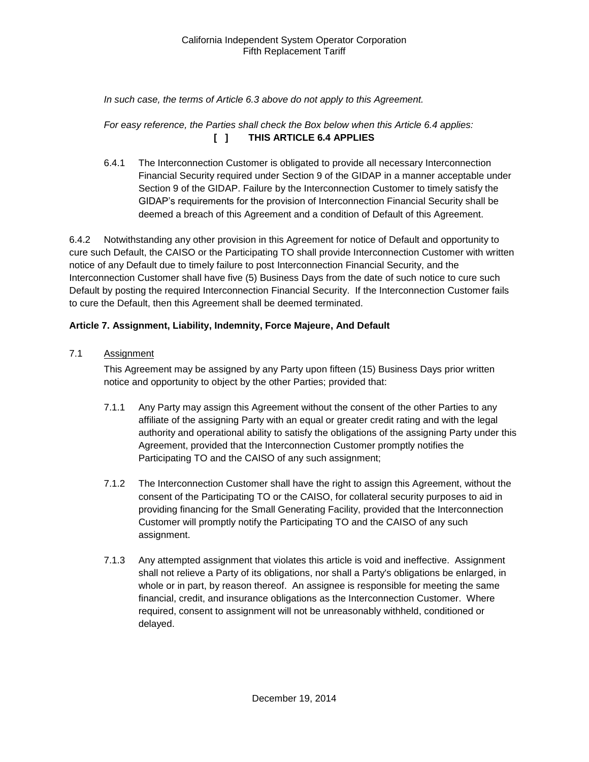## *In such case, the terms of Article 6.3 above do not apply to this Agreement.*

## *For easy reference, the Parties shall check the Box below when this Article 6.4 applies:*  **[ ] THIS ARTICLE 6.4 APPLIES**

6.4.1 The Interconnection Customer is obligated to provide all necessary Interconnection Financial Security required under Section 9 of the GIDAP in a manner acceptable under Section 9 of the GIDAP. Failure by the Interconnection Customer to timely satisfy the GIDAP's requirements for the provision of Interconnection Financial Security shall be deemed a breach of this Agreement and a condition of Default of this Agreement.

6.4.2 Notwithstanding any other provision in this Agreement for notice of Default and opportunity to cure such Default, the CAISO or the Participating TO shall provide Interconnection Customer with written notice of any Default due to timely failure to post Interconnection Financial Security, and the Interconnection Customer shall have five (5) Business Days from the date of such notice to cure such Default by posting the required Interconnection Financial Security. If the Interconnection Customer fails to cure the Default, then this Agreement shall be deemed terminated.

## <span id="page-19-0"></span>**Article 7. Assignment, Liability, Indemnity, Force Majeure, And Default**

<span id="page-19-1"></span>7.1 Assignment

This Agreement may be assigned by any Party upon fifteen (15) Business Days prior written notice and opportunity to object by the other Parties; provided that:

- 7.1.1 Any Party may assign this Agreement without the consent of the other Parties to any affiliate of the assigning Party with an equal or greater credit rating and with the legal authority and operational ability to satisfy the obligations of the assigning Party under this Agreement, provided that the Interconnection Customer promptly notifies the Participating TO and the CAISO of any such assignment;
- 7.1.2 The Interconnection Customer shall have the right to assign this Agreement, without the consent of the Participating TO or the CAISO, for collateral security purposes to aid in providing financing for the Small Generating Facility, provided that the Interconnection Customer will promptly notify the Participating TO and the CAISO of any such assignment.
- 7.1.3 Any attempted assignment that violates this article is void and ineffective. Assignment shall not relieve a Party of its obligations, nor shall a Party's obligations be enlarged, in whole or in part, by reason thereof. An assignee is responsible for meeting the same financial, credit, and insurance obligations as the Interconnection Customer. Where required, consent to assignment will not be unreasonably withheld, conditioned or delayed.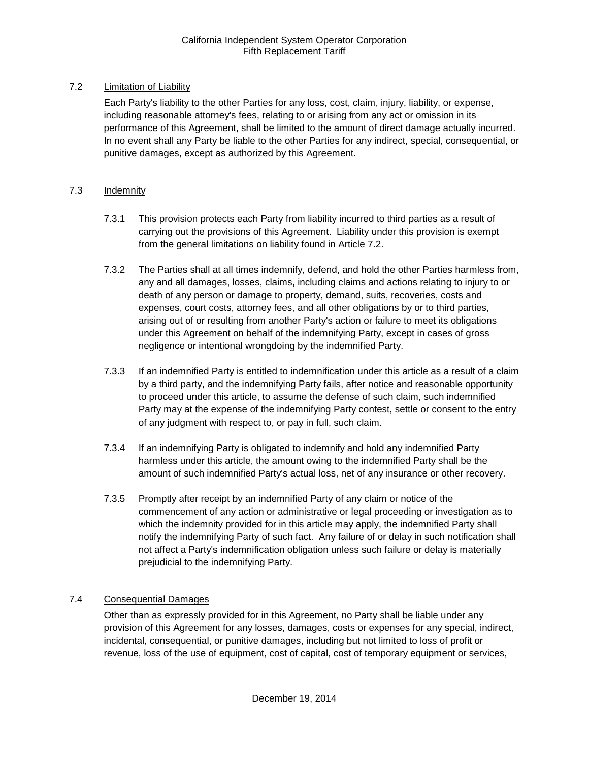## <span id="page-20-0"></span>7.2 Limitation of Liability

Each Party's liability to the other Parties for any loss, cost, claim, injury, liability, or expense, including reasonable attorney's fees, relating to or arising from any act or omission in its performance of this Agreement, shall be limited to the amount of direct damage actually incurred. In no event shall any Party be liable to the other Parties for any indirect, special, consequential, or punitive damages, except as authorized by this Agreement.

## <span id="page-20-1"></span>7.3 Indemnity

- 7.3.1 This provision protects each Party from liability incurred to third parties as a result of carrying out the provisions of this Agreement. Liability under this provision is exempt from the general limitations on liability found in Article 7.2.
- 7.3.2 The Parties shall at all times indemnify, defend, and hold the other Parties harmless from, any and all damages, losses, claims, including claims and actions relating to injury to or death of any person or damage to property, demand, suits, recoveries, costs and expenses, court costs, attorney fees, and all other obligations by or to third parties, arising out of or resulting from another Party's action or failure to meet its obligations under this Agreement on behalf of the indemnifying Party, except in cases of gross negligence or intentional wrongdoing by the indemnified Party.
- 7.3.3 If an indemnified Party is entitled to indemnification under this article as a result of a claim by a third party, and the indemnifying Party fails, after notice and reasonable opportunity to proceed under this article, to assume the defense of such claim, such indemnified Party may at the expense of the indemnifying Party contest, settle or consent to the entry of any judgment with respect to, or pay in full, such claim.
- 7.3.4 If an indemnifying Party is obligated to indemnify and hold any indemnified Party harmless under this article, the amount owing to the indemnified Party shall be the amount of such indemnified Party's actual loss, net of any insurance or other recovery.
- 7.3.5 Promptly after receipt by an indemnified Party of any claim or notice of the commencement of any action or administrative or legal proceeding or investigation as to which the indemnity provided for in this article may apply, the indemnified Party shall notify the indemnifying Party of such fact. Any failure of or delay in such notification shall not affect a Party's indemnification obligation unless such failure or delay is materially prejudicial to the indemnifying Party.

## <span id="page-20-2"></span>7.4 Consequential Damages

Other than as expressly provided for in this Agreement, no Party shall be liable under any provision of this Agreement for any losses, damages, costs or expenses for any special, indirect, incidental, consequential, or punitive damages, including but not limited to loss of profit or revenue, loss of the use of equipment, cost of capital, cost of temporary equipment or services,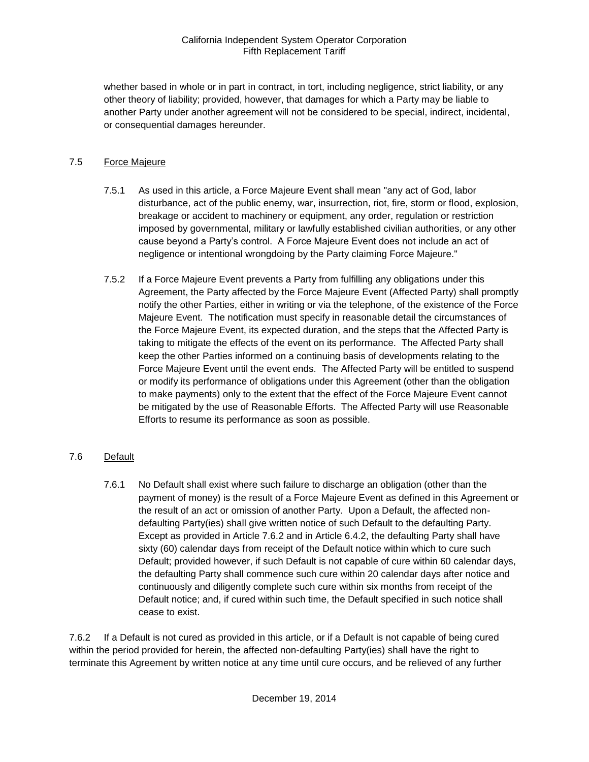whether based in whole or in part in contract, in tort, including negligence, strict liability, or any other theory of liability; provided, however, that damages for which a Party may be liable to another Party under another agreement will not be considered to be special, indirect, incidental, or consequential damages hereunder.

## <span id="page-21-0"></span>7.5 Force Majeure

- 7.5.1 As used in this article, a Force Majeure Event shall mean "any act of God, labor disturbance, act of the public enemy, war, insurrection, riot, fire, storm or flood, explosion, breakage or accident to machinery or equipment, any order, regulation or restriction imposed by governmental, military or lawfully established civilian authorities, or any other cause beyond a Party's control. A Force Majeure Event does not include an act of negligence or intentional wrongdoing by the Party claiming Force Majeure."
- 7.5.2 If a Force Majeure Event prevents a Party from fulfilling any obligations under this Agreement, the Party affected by the Force Majeure Event (Affected Party) shall promptly notify the other Parties, either in writing or via the telephone, of the existence of the Force Majeure Event. The notification must specify in reasonable detail the circumstances of the Force Majeure Event, its expected duration, and the steps that the Affected Party is taking to mitigate the effects of the event on its performance. The Affected Party shall keep the other Parties informed on a continuing basis of developments relating to the Force Majeure Event until the event ends. The Affected Party will be entitled to suspend or modify its performance of obligations under this Agreement (other than the obligation to make payments) only to the extent that the effect of the Force Majeure Event cannot be mitigated by the use of Reasonable Efforts. The Affected Party will use Reasonable Efforts to resume its performance as soon as possible.

## <span id="page-21-1"></span>7.6 Default

7.6.1 No Default shall exist where such failure to discharge an obligation (other than the payment of money) is the result of a Force Majeure Event as defined in this Agreement or the result of an act or omission of another Party. Upon a Default, the affected nondefaulting Party(ies) shall give written notice of such Default to the defaulting Party. Except as provided in Article 7.6.2 and in Article 6.4.2, the defaulting Party shall have sixty (60) calendar days from receipt of the Default notice within which to cure such Default; provided however, if such Default is not capable of cure within 60 calendar days, the defaulting Party shall commence such cure within 20 calendar days after notice and continuously and diligently complete such cure within six months from receipt of the Default notice; and, if cured within such time, the Default specified in such notice shall cease to exist.

7.6.2 If a Default is not cured as provided in this article, or if a Default is not capable of being cured within the period provided for herein, the affected non-defaulting Party(ies) shall have the right to terminate this Agreement by written notice at any time until cure occurs, and be relieved of any further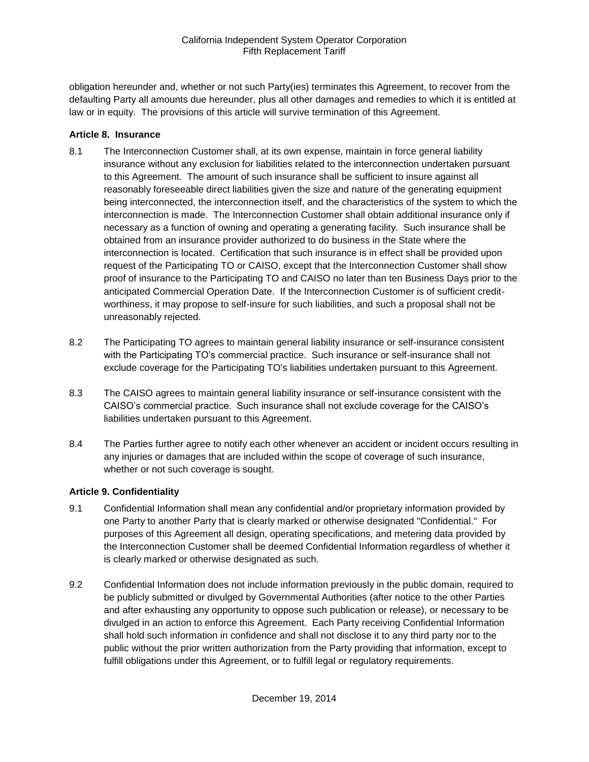obligation hereunder and, whether or not such Party(ies) terminates this Agreement, to recover from the defaulting Party all amounts due hereunder, plus all other damages and remedies to which it is entitled at law or in equity. The provisions of this article will survive termination of this Agreement.

#### <span id="page-22-0"></span>**Article 8. Insurance**

- <span id="page-22-1"></span>8.1 The Interconnection Customer shall, at its own expense, maintain in force general liability insurance without any exclusion for liabilities related to the interconnection undertaken pursuant to this Agreement. The amount of such insurance shall be sufficient to insure against all reasonably foreseeable direct liabilities given the size and nature of the generating equipment being interconnected, the interconnection itself, and the characteristics of the system to which the interconnection is made. The Interconnection Customer shall obtain additional insurance only if necessary as a function of owning and operating a generating facility. Such insurance shall be obtained from an insurance provider authorized to do business in the State where the interconnection is located. Certification that such insurance is in effect shall be provided upon request of the Participating TO or CAISO, except that the Interconnection Customer shall show proof of insurance to the Participating TO and CAISO no later than ten Business Days prior to the anticipated Commercial Operation Date. If the Interconnection Customer is of sufficient creditworthiness, it may propose to self-insure for such liabilities, and such a proposal shall not be unreasonably rejected.
- <span id="page-22-2"></span>8.2 The Participating TO agrees to maintain general liability insurance or self-insurance consistent with the Participating TO's commercial practice. Such insurance or self-insurance shall not exclude coverage for the Participating TO's liabilities undertaken pursuant to this Agreement.
- <span id="page-22-3"></span>8.3 The CAISO agrees to maintain general liability insurance or self-insurance consistent with the CAISO's commercial practice. Such insurance shall not exclude coverage for the CAISO's liabilities undertaken pursuant to this Agreement.
- <span id="page-22-4"></span>8.4 The Parties further agree to notify each other whenever an accident or incident occurs resulting in any injuries or damages that are included within the scope of coverage of such insurance, whether or not such coverage is sought.

#### <span id="page-22-5"></span>**Article 9. Confidentiality**

- <span id="page-22-6"></span>9.1 Confidential Information shall mean any confidential and/or proprietary information provided by one Party to another Party that is clearly marked or otherwise designated "Confidential." For purposes of this Agreement all design, operating specifications, and metering data provided by the Interconnection Customer shall be deemed Confidential Information regardless of whether it is clearly marked or otherwise designated as such.
- <span id="page-22-7"></span>9.2 Confidential Information does not include information previously in the public domain, required to be publicly submitted or divulged by Governmental Authorities (after notice to the other Parties and after exhausting any opportunity to oppose such publication or release), or necessary to be divulged in an action to enforce this Agreement. Each Party receiving Confidential Information shall hold such information in confidence and shall not disclose it to any third party nor to the public without the prior written authorization from the Party providing that information, except to fulfill obligations under this Agreement, or to fulfill legal or regulatory requirements.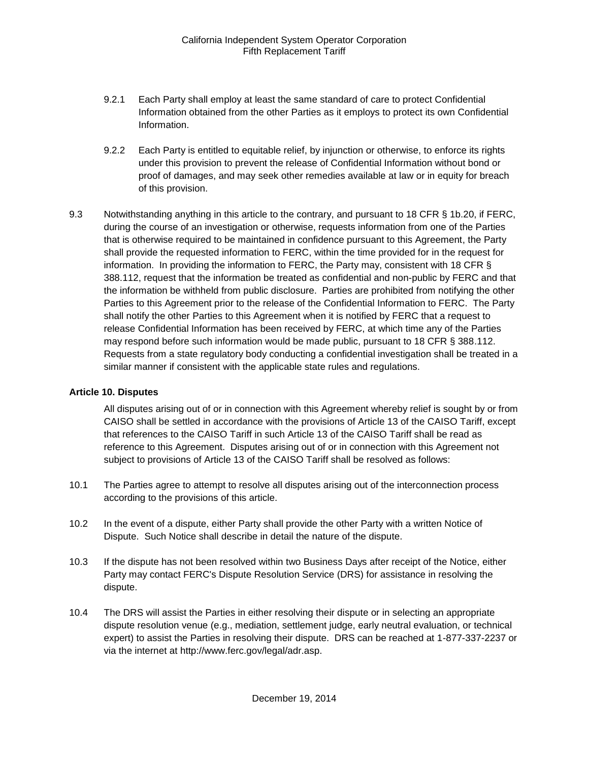- 9.2.1 Each Party shall employ at least the same standard of care to protect Confidential Information obtained from the other Parties as it employs to protect its own Confidential Information.
- 9.2.2 Each Party is entitled to equitable relief, by injunction or otherwise, to enforce its rights under this provision to prevent the release of Confidential Information without bond or proof of damages, and may seek other remedies available at law or in equity for breach of this provision.
- <span id="page-23-0"></span>9.3 Notwithstanding anything in this article to the contrary, and pursuant to 18 CFR § 1b.20, if FERC, during the course of an investigation or otherwise, requests information from one of the Parties that is otherwise required to be maintained in confidence pursuant to this Agreement, the Party shall provide the requested information to FERC, within the time provided for in the request for information. In providing the information to FERC, the Party may, consistent with 18 CFR § 388.112, request that the information be treated as confidential and non-public by FERC and that the information be withheld from public disclosure. Parties are prohibited from notifying the other Parties to this Agreement prior to the release of the Confidential Information to FERC. The Party shall notify the other Parties to this Agreement when it is notified by FERC that a request to release Confidential Information has been received by FERC, at which time any of the Parties may respond before such information would be made public, pursuant to 18 CFR § 388.112. Requests from a state regulatory body conducting a confidential investigation shall be treated in a similar manner if consistent with the applicable state rules and regulations.

#### <span id="page-23-1"></span>**Article 10. Disputes**

All disputes arising out of or in connection with this Agreement whereby relief is sought by or from CAISO shall be settled in accordance with the provisions of Article 13 of the CAISO Tariff, except that references to the CAISO Tariff in such Article 13 of the CAISO Tariff shall be read as reference to this Agreement. Disputes arising out of or in connection with this Agreement not subject to provisions of Article 13 of the CAISO Tariff shall be resolved as follows:

- <span id="page-23-2"></span>10.1 The Parties agree to attempt to resolve all disputes arising out of the interconnection process according to the provisions of this article.
- <span id="page-23-3"></span>10.2 In the event of a dispute, either Party shall provide the other Party with a written Notice of Dispute. Such Notice shall describe in detail the nature of the dispute.
- <span id="page-23-4"></span>10.3 If the dispute has not been resolved within two Business Days after receipt of the Notice, either Party may contact FERC's Dispute Resolution Service (DRS) for assistance in resolving the dispute.
- <span id="page-23-5"></span>10.4 The DRS will assist the Parties in either resolving their dispute or in selecting an appropriate dispute resolution venue (e.g., mediation, settlement judge, early neutral evaluation, or technical expert) to assist the Parties in resolving their dispute. DRS can be reached at 1-877-337-2237 or via the internet at http://www.ferc.gov/legal/adr.asp.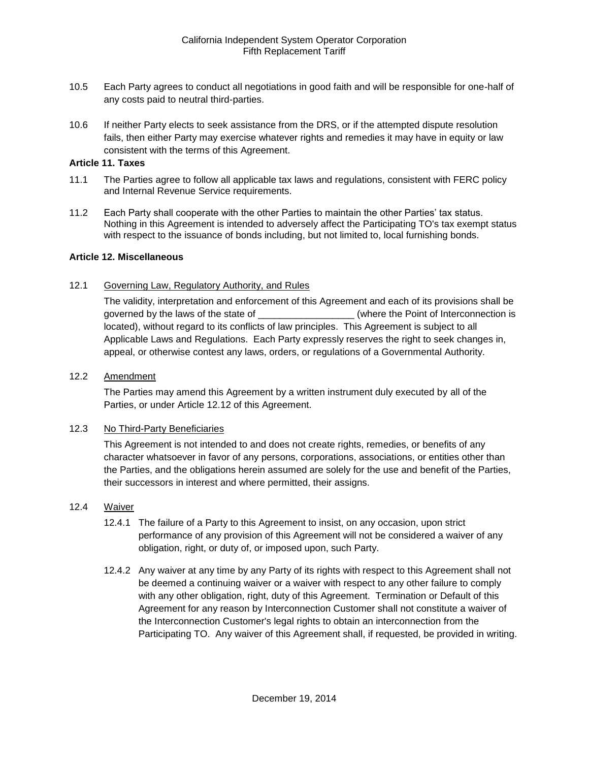- <span id="page-24-0"></span>10.5 Each Party agrees to conduct all negotiations in good faith and will be responsible for one-half of any costs paid to neutral third-parties.
- <span id="page-24-1"></span>10.6 If neither Party elects to seek assistance from the DRS, or if the attempted dispute resolution fails, then either Party may exercise whatever rights and remedies it may have in equity or law consistent with the terms of this Agreement.

#### <span id="page-24-2"></span>**Article 11. Taxes**

- <span id="page-24-3"></span>11.1 The Parties agree to follow all applicable tax laws and regulations, consistent with FERC policy and Internal Revenue Service requirements.
- <span id="page-24-4"></span>11.2 Each Party shall cooperate with the other Parties to maintain the other Parties' tax status. Nothing in this Agreement is intended to adversely affect the Participating TO's tax exempt status with respect to the issuance of bonds including, but not limited to, local furnishing bonds.

#### <span id="page-24-5"></span>**Article 12. Miscellaneous**

<span id="page-24-6"></span>12.1 Governing Law, Regulatory Authority, and Rules

The validity, interpretation and enforcement of this Agreement and each of its provisions shall be governed by the laws of the state of \_\_\_\_\_\_\_\_\_\_\_\_\_\_\_\_\_\_\_\_\_(where the Point of Interconnection is located), without regard to its conflicts of law principles. This Agreement is subject to all Applicable Laws and Regulations. Each Party expressly reserves the right to seek changes in, appeal, or otherwise contest any laws, orders, or regulations of a Governmental Authority.

#### <span id="page-24-7"></span>12.2 Amendment

The Parties may amend this Agreement by a written instrument duly executed by all of the Parties, or under Article 12.12 of this Agreement.

#### <span id="page-24-8"></span>12.3 No Third-Party Beneficiaries

This Agreement is not intended to and does not create rights, remedies, or benefits of any character whatsoever in favor of any persons, corporations, associations, or entities other than the Parties, and the obligations herein assumed are solely for the use and benefit of the Parties, their successors in interest and where permitted, their assigns.

#### <span id="page-24-9"></span>12.4 Waiver

- 12.4.1 The failure of a Party to this Agreement to insist, on any occasion, upon strict performance of any provision of this Agreement will not be considered a waiver of any obligation, right, or duty of, or imposed upon, such Party.
- 12.4.2 Any waiver at any time by any Party of its rights with respect to this Agreement shall not be deemed a continuing waiver or a waiver with respect to any other failure to comply with any other obligation, right, duty of this Agreement. Termination or Default of this Agreement for any reason by Interconnection Customer shall not constitute a waiver of the Interconnection Customer's legal rights to obtain an interconnection from the Participating TO. Any waiver of this Agreement shall, if requested, be provided in writing.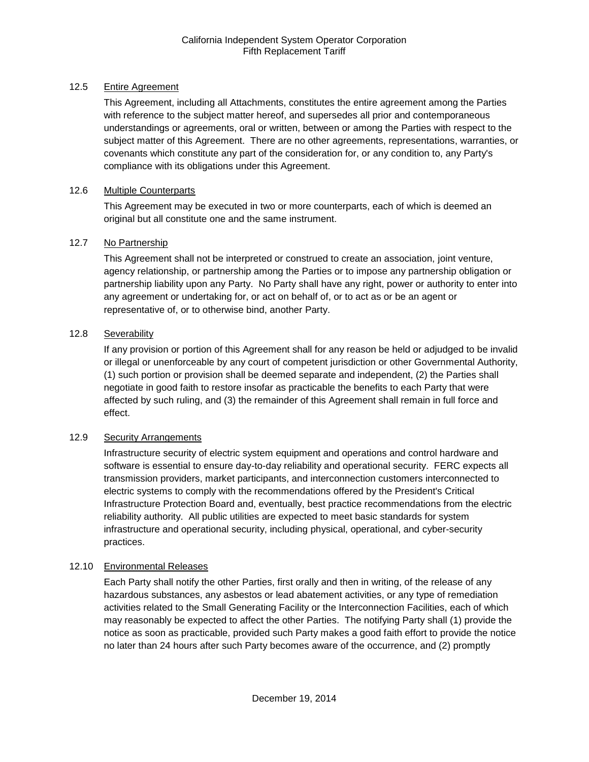### <span id="page-25-0"></span>12.5 Entire Agreement

This Agreement, including all Attachments, constitutes the entire agreement among the Parties with reference to the subject matter hereof, and supersedes all prior and contemporaneous understandings or agreements, oral or written, between or among the Parties with respect to the subject matter of this Agreement. There are no other agreements, representations, warranties, or covenants which constitute any part of the consideration for, or any condition to, any Party's compliance with its obligations under this Agreement.

## <span id="page-25-1"></span>12.6 Multiple Counterparts

This Agreement may be executed in two or more counterparts, each of which is deemed an original but all constitute one and the same instrument.

## <span id="page-25-2"></span>12.7 No Partnership

This Agreement shall not be interpreted or construed to create an association, joint venture, agency relationship, or partnership among the Parties or to impose any partnership obligation or partnership liability upon any Party. No Party shall have any right, power or authority to enter into any agreement or undertaking for, or act on behalf of, or to act as or be an agent or representative of, or to otherwise bind, another Party.

## <span id="page-25-3"></span>12.8 Severability

If any provision or portion of this Agreement shall for any reason be held or adjudged to be invalid or illegal or unenforceable by any court of competent jurisdiction or other Governmental Authority, (1) such portion or provision shall be deemed separate and independent, (2) the Parties shall negotiate in good faith to restore insofar as practicable the benefits to each Party that were affected by such ruling, and (3) the remainder of this Agreement shall remain in full force and effect.

#### <span id="page-25-4"></span>12.9 Security Arrangements

Infrastructure security of electric system equipment and operations and control hardware and software is essential to ensure day-to-day reliability and operational security. FERC expects all transmission providers, market participants, and interconnection customers interconnected to electric systems to comply with the recommendations offered by the President's Critical Infrastructure Protection Board and, eventually, best practice recommendations from the electric reliability authority. All public utilities are expected to meet basic standards for system infrastructure and operational security, including physical, operational, and cyber-security practices.

## <span id="page-25-5"></span>12.10 Environmental Releases

Each Party shall notify the other Parties, first orally and then in writing, of the release of any hazardous substances, any asbestos or lead abatement activities, or any type of remediation activities related to the Small Generating Facility or the Interconnection Facilities, each of which may reasonably be expected to affect the other Parties. The notifying Party shall (1) provide the notice as soon as practicable, provided such Party makes a good faith effort to provide the notice no later than 24 hours after such Party becomes aware of the occurrence, and (2) promptly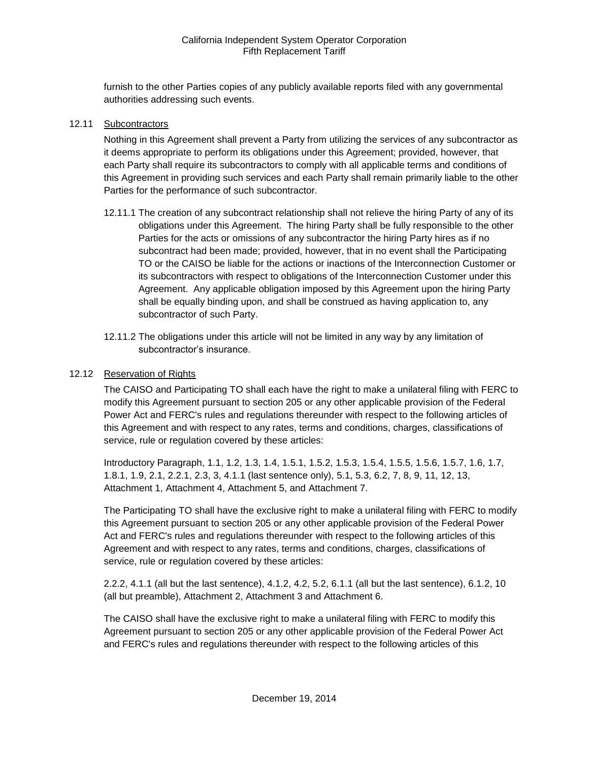furnish to the other Parties copies of any publicly available reports filed with any governmental authorities addressing such events.

#### <span id="page-26-0"></span>12.11 Subcontractors

Nothing in this Agreement shall prevent a Party from utilizing the services of any subcontractor as it deems appropriate to perform its obligations under this Agreement; provided, however, that each Party shall require its subcontractors to comply with all applicable terms and conditions of this Agreement in providing such services and each Party shall remain primarily liable to the other Parties for the performance of such subcontractor.

- 12.11.1 The creation of any subcontract relationship shall not relieve the hiring Party of any of its obligations under this Agreement. The hiring Party shall be fully responsible to the other Parties for the acts or omissions of any subcontractor the hiring Party hires as if no subcontract had been made; provided, however, that in no event shall the Participating TO or the CAISO be liable for the actions or inactions of the Interconnection Customer or its subcontractors with respect to obligations of the Interconnection Customer under this Agreement. Any applicable obligation imposed by this Agreement upon the hiring Party shall be equally binding upon, and shall be construed as having application to, any subcontractor of such Party.
- 12.11.2 The obligations under this article will not be limited in any way by any limitation of subcontractor's insurance.

#### <span id="page-26-1"></span>12.12 Reservation of Rights

The CAISO and Participating TO shall each have the right to make a unilateral filing with FERC to modify this Agreement pursuant to section 205 or any other applicable provision of the Federal Power Act and FERC's rules and regulations thereunder with respect to the following articles of this Agreement and with respect to any rates, terms and conditions, charges, classifications of service, rule or regulation covered by these articles:

Introductory Paragraph, 1.1, 1.2, 1.3, 1.4, 1.5.1, 1.5.2, 1.5.3, 1.5.4, 1.5.5, 1.5.6, 1.5.7, 1.6, 1.7, 1.8.1, 1.9, 2.1, 2.2.1, 2.3, 3, 4.1.1 (last sentence only), 5.1, 5.3, 6.2, 7, 8, 9, 11, 12, 13, Attachment 1, Attachment 4, Attachment 5, and Attachment 7.

The Participating TO shall have the exclusive right to make a unilateral filing with FERC to modify this Agreement pursuant to section 205 or any other applicable provision of the Federal Power Act and FERC's rules and regulations thereunder with respect to the following articles of this Agreement and with respect to any rates, terms and conditions, charges, classifications of service, rule or regulation covered by these articles:

2.2.2, 4.1.1 (all but the last sentence), 4.1.2, 4.2, 5.2, 6.1.1 (all but the last sentence), 6.1.2, 10 (all but preamble), Attachment 2, Attachment 3 and Attachment 6.

The CAISO shall have the exclusive right to make a unilateral filing with FERC to modify this Agreement pursuant to section 205 or any other applicable provision of the Federal Power Act and FERC's rules and regulations thereunder with respect to the following articles of this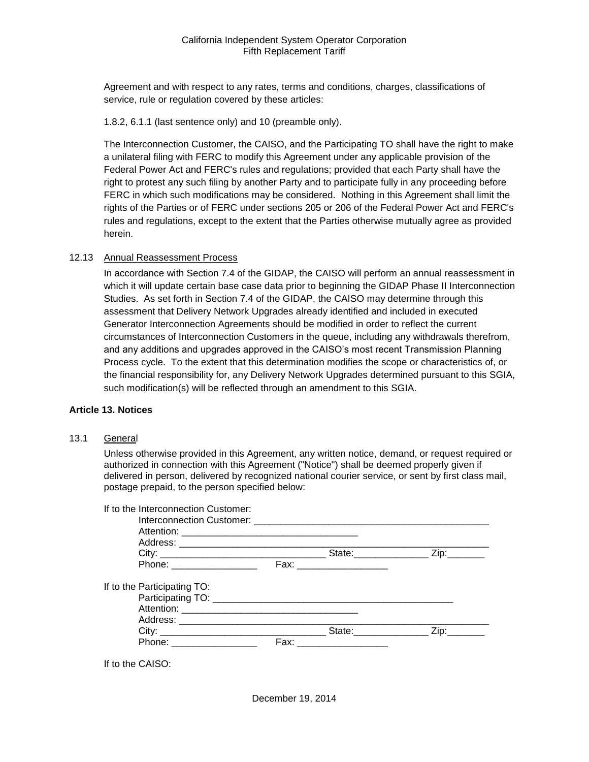Agreement and with respect to any rates, terms and conditions, charges, classifications of service, rule or regulation covered by these articles:

1.8.2, 6.1.1 (last sentence only) and 10 (preamble only).

The Interconnection Customer, the CAISO, and the Participating TO shall have the right to make a unilateral filing with FERC to modify this Agreement under any applicable provision of the Federal Power Act and FERC's rules and regulations; provided that each Party shall have the right to protest any such filing by another Party and to participate fully in any proceeding before FERC in which such modifications may be considered. Nothing in this Agreement shall limit the rights of the Parties or of FERC under sections 205 or 206 of the Federal Power Act and FERC's rules and regulations, except to the extent that the Parties otherwise mutually agree as provided herein.

#### <span id="page-27-0"></span>12.13 Annual Reassessment Process

In accordance with Section 7.4 of the GIDAP, the CAISO will perform an annual reassessment in which it will update certain base case data prior to beginning the GIDAP Phase II Interconnection Studies. As set forth in Section 7.4 of the GIDAP, the CAISO may determine through this assessment that Delivery Network Upgrades already identified and included in executed Generator Interconnection Agreements should be modified in order to reflect the current circumstances of Interconnection Customers in the queue, including any withdrawals therefrom, and any additions and upgrades approved in the CAISO's most recent Transmission Planning Process cycle. To the extent that this determination modifies the scope or characteristics of, or the financial responsibility for, any Delivery Network Upgrades determined pursuant to this SGIA, such modification(s) will be reflected through an amendment to this SGIA.

#### <span id="page-27-1"></span>**Article 13. Notices**

<span id="page-27-2"></span>13.1 General

Unless otherwise provided in this Agreement, any written notice, demand, or request required or authorized in connection with this Agreement ("Notice") shall be deemed properly given if delivered in person, delivered by recognized national courier service, or sent by first class mail, postage prepaid, to the person specified below:

| If to the Interconnection Customer: |  |  |
|-------------------------------------|--|--|
|                                     |  |  |
|                                     |  |  |
|                                     |  |  |
|                                     |  |  |
| Phone: ___________________          |  |  |
| If to the Participating TO:         |  |  |
|                                     |  |  |
|                                     |  |  |
|                                     |  |  |
|                                     |  |  |
| Phone: __________________           |  |  |
|                                     |  |  |

If to the CAISO: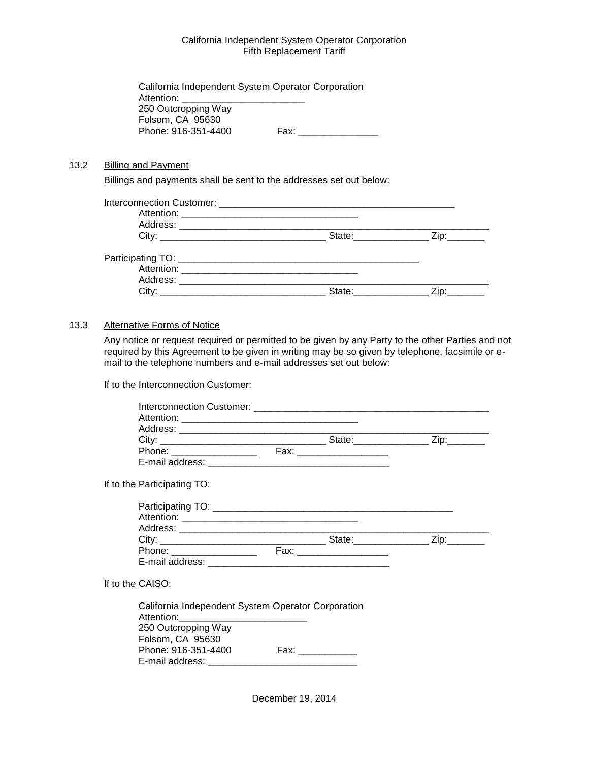| California Independent System Operator Corporation |      |
|----------------------------------------------------|------|
| Attention:                                         |      |
| 250 Outcropping Way                                |      |
| Folsom, CA 95630                                   |      |
| Phone: 916-351-4400                                | Fax: |

#### <span id="page-28-0"></span>13.2 Billing and Payment

Billings and payments shall be sent to the addresses set out below:

| State: __________ |      |
|-------------------|------|
|                   |      |
|                   |      |
|                   |      |
| State:            | Zip: |

#### <span id="page-28-1"></span>13.3 Alternative Forms of Notice

Any notice or request required or permitted to be given by any Party to the other Parties and not required by this Agreement to be given in writing may be so given by telephone, facsimile or email to the telephone numbers and e-mail addresses set out below:

If to the Interconnection Customer:

| If to the Participating TO: |  |  |
|-----------------------------|--|--|
|                             |  |  |
|                             |  |  |
|                             |  |  |
|                             |  |  |
|                             |  |  |
|                             |  |  |
| If to the CAISO:            |  |  |

| California Independent System Operator Corporation |  |
|----------------------------------------------------|--|
|                                                    |  |
|                                                    |  |
|                                                    |  |
| Fax:                                               |  |
|                                                    |  |
|                                                    |  |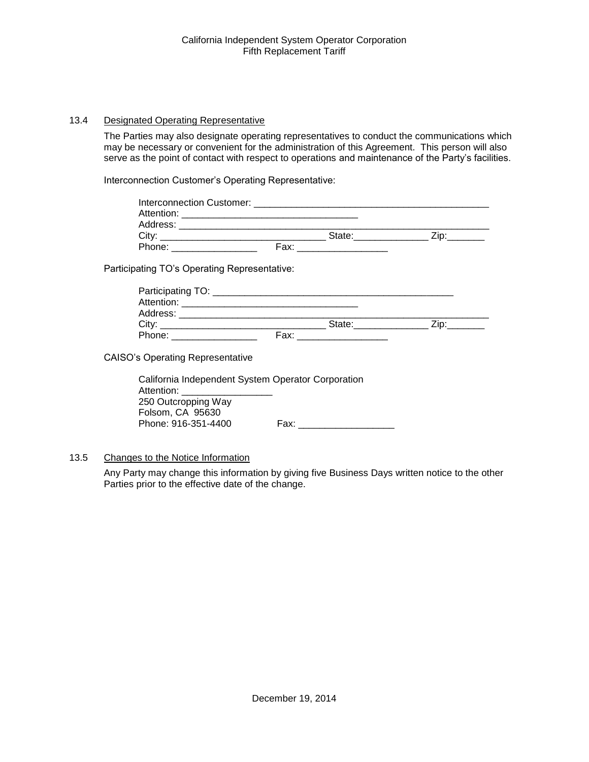#### <span id="page-29-0"></span>13.4 Designated Operating Representative

The Parties may also designate operating representatives to conduct the communications which may be necessary or convenient for the administration of this Agreement. This person will also serve as the point of contact with respect to operations and maintenance of the Party's facilities.

Interconnection Customer's Operating Representative:

| Interconnection Customer: |      |        |      |
|---------------------------|------|--------|------|
|                           |      |        |      |
| Address: Andreas Address: |      |        |      |
| City:                     |      | State: | Zip: |
| Phone:                    | Fax: |        |      |

Participating TO's Operating Representative:

| Participating TO:     |      |        |      |
|-----------------------|------|--------|------|
| Attention: Attention: |      |        |      |
| Address:              |      |        |      |
| City:                 |      | State: | 'in: |
| Phone:                | Fax: |        |      |

CAISO's Operating Representative

| California Independent System Operator Corporation |
|----------------------------------------------------|
|                                                    |
|                                                    |
|                                                    |
| Fax:                                               |
|                                                    |

<span id="page-29-1"></span>13.5 Changes to the Notice Information

Any Party may change this information by giving five Business Days written notice to the other Parties prior to the effective date of the change.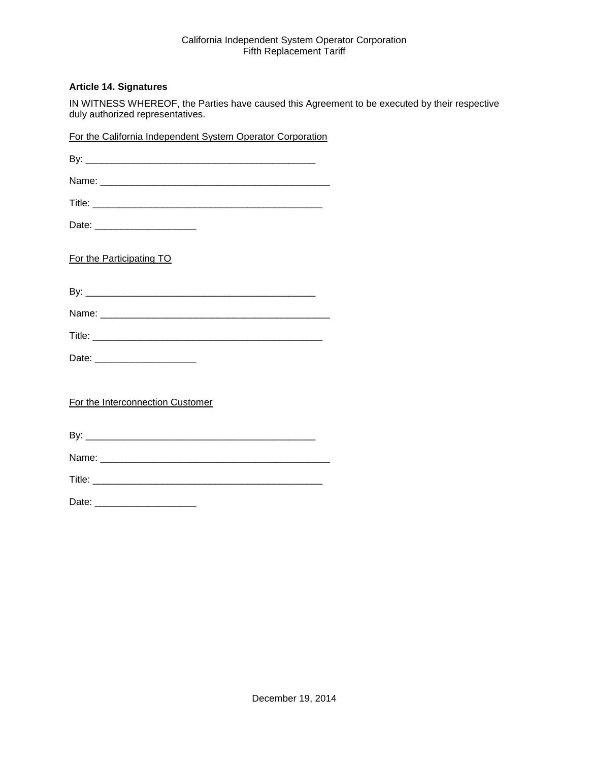#### <span id="page-30-0"></span>**Article 14. Signatures**

IN WITNESS WHEREOF, the Parties have caused this Agreement to be executed by their respective duly authorized representatives.

| For the California Independent System Operator Corporation |
|------------------------------------------------------------|
|                                                            |
|                                                            |
|                                                            |
| Date: _________________________                            |
| For the Participating TO                                   |
|                                                            |
|                                                            |
|                                                            |
| Date: _________________________                            |
| For the Interconnection Customer                           |
|                                                            |
|                                                            |
|                                                            |
| Date: ________________________                             |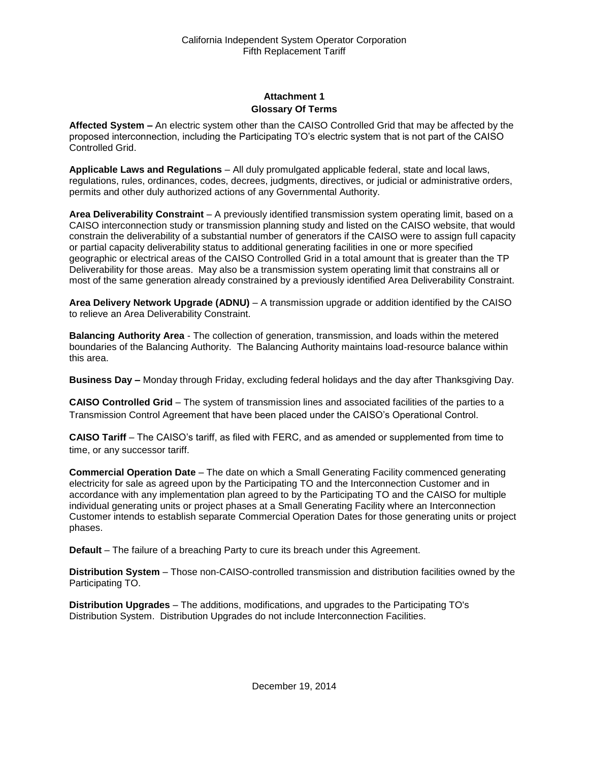## **Attachment 1 Glossary Of Terms**

<span id="page-31-1"></span><span id="page-31-0"></span>**Affected System –** An electric system other than the CAISO Controlled Grid that may be affected by the proposed interconnection, including the Participating TO's electric system that is not part of the CAISO Controlled Grid.

**Applicable Laws and Regulations** – All duly promulgated applicable federal, state and local laws, regulations, rules, ordinances, codes, decrees, judgments, directives, or judicial or administrative orders, permits and other duly authorized actions of any Governmental Authority.

**Area Deliverability Constraint** – A previously identified transmission system operating limit, based on a CAISO interconnection study or transmission planning study and listed on the CAISO website, that would constrain the deliverability of a substantial number of generators if the CAISO were to assign full capacity or partial capacity deliverability status to additional generating facilities in one or more specified geographic or electrical areas of the CAISO Controlled Grid in a total amount that is greater than the TP Deliverability for those areas. May also be a transmission system operating limit that constrains all or most of the same generation already constrained by a previously identified Area Deliverability Constraint.

**Area Delivery Network Upgrade (ADNU)** – A transmission upgrade or addition identified by the CAISO to relieve an Area Deliverability Constraint.

**Balancing Authority Area** - The collection of generation, transmission, and loads within the metered boundaries of the Balancing Authority. The Balancing Authority maintains load-resource balance within this area.

**Business Day –** Monday through Friday, excluding federal holidays and the day after Thanksgiving Day.

**CAISO Controlled Grid** – The system of transmission lines and associated facilities of the parties to a Transmission Control Agreement that have been placed under the CAISO's Operational Control.

**CAISO Tariff** – The CAISO's tariff, as filed with FERC, and as amended or supplemented from time to time, or any successor tariff.

**Commercial Operation Date** – The date on which a Small Generating Facility commenced generating electricity for sale as agreed upon by the Participating TO and the Interconnection Customer and in accordance with any implementation plan agreed to by the Participating TO and the CAISO for multiple individual generating units or project phases at a Small Generating Facility where an Interconnection Customer intends to establish separate Commercial Operation Dates for those generating units or project phases.

**Default** – The failure of a breaching Party to cure its breach under this Agreement.

**Distribution System** – Those non-CAISO-controlled transmission and distribution facilities owned by the Participating TO.

**Distribution Upgrades** – The additions, modifications, and upgrades to the Participating TO's Distribution System. Distribution Upgrades do not include Interconnection Facilities.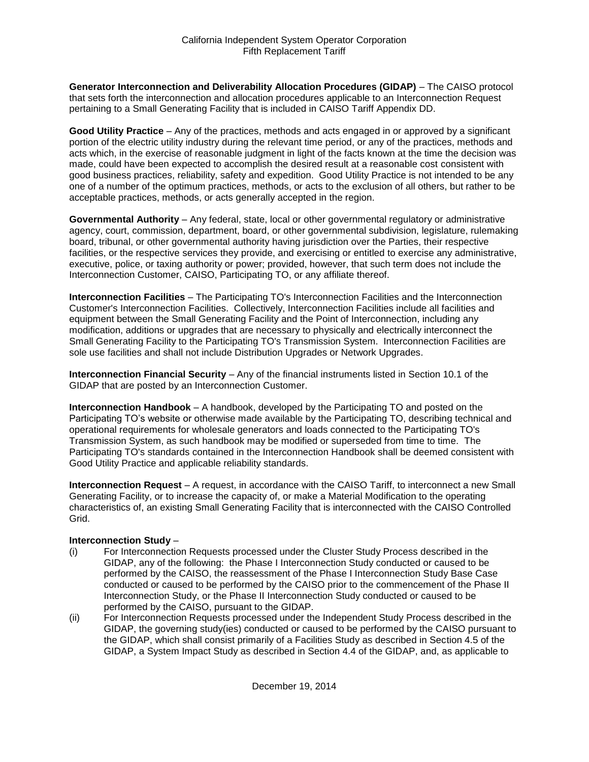**Generator Interconnection and Deliverability Allocation Procedures (GIDAP)** – The CAISO protocol that sets forth the interconnection and allocation procedures applicable to an Interconnection Request pertaining to a Small Generating Facility that is included in CAISO Tariff Appendix DD.

**Good Utility Practice** – Any of the practices, methods and acts engaged in or approved by a significant portion of the electric utility industry during the relevant time period, or any of the practices, methods and acts which, in the exercise of reasonable judgment in light of the facts known at the time the decision was made, could have been expected to accomplish the desired result at a reasonable cost consistent with good business practices, reliability, safety and expedition. Good Utility Practice is not intended to be any one of a number of the optimum practices, methods, or acts to the exclusion of all others, but rather to be acceptable practices, methods, or acts generally accepted in the region.

**Governmental Authority** – Any federal, state, local or other governmental regulatory or administrative agency, court, commission, department, board, or other governmental subdivision, legislature, rulemaking board, tribunal, or other governmental authority having jurisdiction over the Parties, their respective facilities, or the respective services they provide, and exercising or entitled to exercise any administrative, executive, police, or taxing authority or power; provided, however, that such term does not include the Interconnection Customer, CAISO, Participating TO, or any affiliate thereof.

**Interconnection Facilities** – The Participating TO's Interconnection Facilities and the Interconnection Customer's Interconnection Facilities. Collectively, Interconnection Facilities include all facilities and equipment between the Small Generating Facility and the Point of Interconnection, including any modification, additions or upgrades that are necessary to physically and electrically interconnect the Small Generating Facility to the Participating TO's Transmission System. Interconnection Facilities are sole use facilities and shall not include Distribution Upgrades or Network Upgrades.

**Interconnection Financial Security** – Any of the financial instruments listed in Section 10.1 of the GIDAP that are posted by an Interconnection Customer.

**Interconnection Handbook** – A handbook, developed by the Participating TO and posted on the Participating TO's website or otherwise made available by the Participating TO, describing technical and operational requirements for wholesale generators and loads connected to the Participating TO's Transmission System, as such handbook may be modified or superseded from time to time. The Participating TO's standards contained in the Interconnection Handbook shall be deemed consistent with Good Utility Practice and applicable reliability standards.

**Interconnection Request** – A request, in accordance with the CAISO Tariff, to interconnect a new Small Generating Facility, or to increase the capacity of, or make a Material Modification to the operating characteristics of, an existing Small Generating Facility that is interconnected with the CAISO Controlled Grid.

#### **Interconnection Study** –

- (i) For Interconnection Requests processed under the Cluster Study Process described in the GIDAP, any of the following: the Phase I Interconnection Study conducted or caused to be performed by the CAISO, the reassessment of the Phase I Interconnection Study Base Case conducted or caused to be performed by the CAISO prior to the commencement of the Phase II Interconnection Study, or the Phase II Interconnection Study conducted or caused to be performed by the CAISO, pursuant to the GIDAP.
- (ii) For Interconnection Requests processed under the Independent Study Process described in the GIDAP, the governing study(ies) conducted or caused to be performed by the CAISO pursuant to the GIDAP, which shall consist primarily of a Facilities Study as described in Section 4.5 of the GIDAP, a System Impact Study as described in Section 4.4 of the GIDAP, and, as applicable to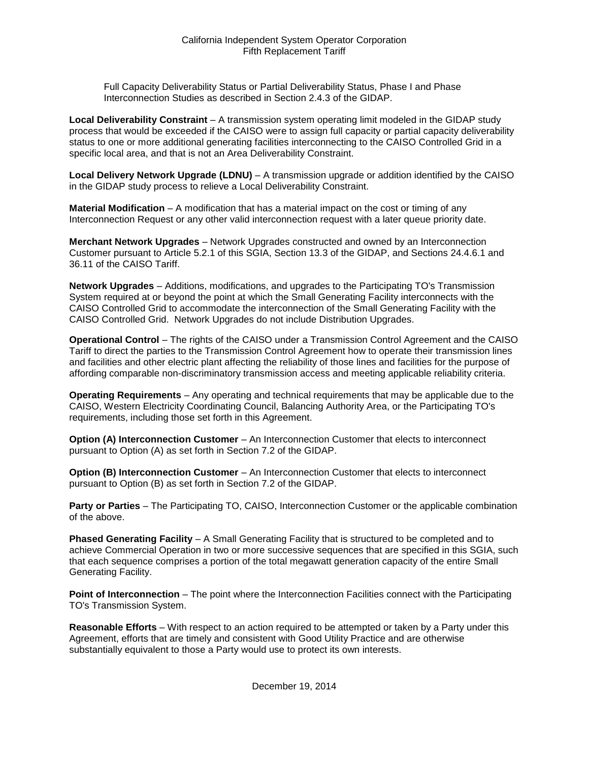Full Capacity Deliverability Status or Partial Deliverability Status, Phase I and Phase Interconnection Studies as described in Section 2.4.3 of the GIDAP.

**Local Deliverability Constraint** – A transmission system operating limit modeled in the GIDAP study process that would be exceeded if the CAISO were to assign full capacity or partial capacity deliverability status to one or more additional generating facilities interconnecting to the CAISO Controlled Grid in a specific local area, and that is not an Area Deliverability Constraint.

**Local Delivery Network Upgrade (LDNU)** – A transmission upgrade or addition identified by the CAISO in the GIDAP study process to relieve a Local Deliverability Constraint.

**Material Modification** – A modification that has a material impact on the cost or timing of any Interconnection Request or any other valid interconnection request with a later queue priority date.

**Merchant Network Upgrades** – Network Upgrades constructed and owned by an Interconnection Customer pursuant to Article 5.2.1 of this SGIA, Section 13.3 of the GIDAP, and Sections 24.4.6.1 and 36.11 of the CAISO Tariff.

**Network Upgrades** – Additions, modifications, and upgrades to the Participating TO's Transmission System required at or beyond the point at which the Small Generating Facility interconnects with the CAISO Controlled Grid to accommodate the interconnection of the Small Generating Facility with the CAISO Controlled Grid. Network Upgrades do not include Distribution Upgrades.

**Operational Control** – The rights of the CAISO under a Transmission Control Agreement and the CAISO Tariff to direct the parties to the Transmission Control Agreement how to operate their transmission lines and facilities and other electric plant affecting the reliability of those lines and facilities for the purpose of affording comparable non-discriminatory transmission access and meeting applicable reliability criteria.

**Operating Requirements** – Any operating and technical requirements that may be applicable due to the CAISO, Western Electricity Coordinating Council, Balancing Authority Area, or the Participating TO's requirements, including those set forth in this Agreement.

**Option (A) Interconnection Customer** – An Interconnection Customer that elects to interconnect pursuant to Option (A) as set forth in Section 7.2 of the GIDAP.

**Option (B) Interconnection Customer** – An Interconnection Customer that elects to interconnect pursuant to Option (B) as set forth in Section 7.2 of the GIDAP.

**Party or Parties** – The Participating TO, CAISO, Interconnection Customer or the applicable combination of the above.

**Phased Generating Facility** – A Small Generating Facility that is structured to be completed and to achieve Commercial Operation in two or more successive sequences that are specified in this SGIA, such that each sequence comprises a portion of the total megawatt generation capacity of the entire Small Generating Facility.

**Point of Interconnection** – The point where the Interconnection Facilities connect with the Participating TO's Transmission System.

**Reasonable Efforts** – With respect to an action required to be attempted or taken by a Party under this Agreement, efforts that are timely and consistent with Good Utility Practice and are otherwise substantially equivalent to those a Party would use to protect its own interests.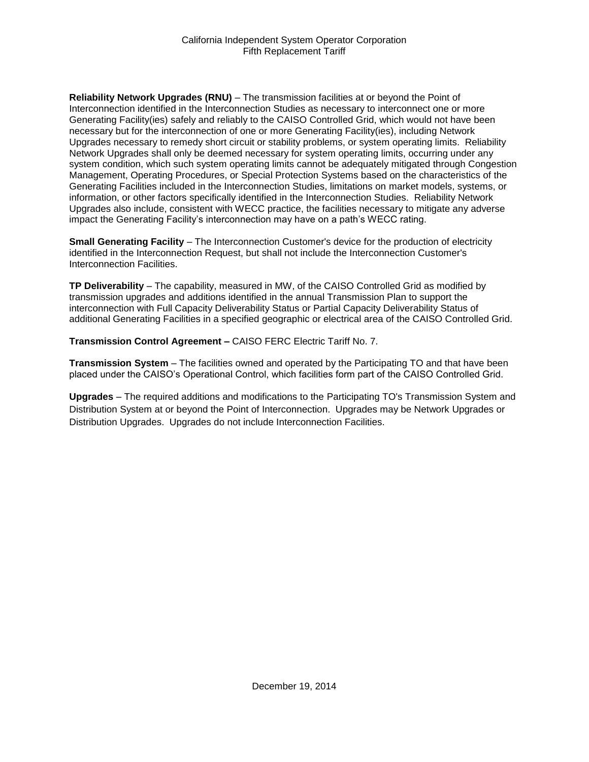**Reliability Network Upgrades (RNU)** – The transmission facilities at or beyond the Point of Interconnection identified in the Interconnection Studies as necessary to interconnect one or more Generating Facility(ies) safely and reliably to the CAISO Controlled Grid, which would not have been necessary but for the interconnection of one or more Generating Facility(ies), including Network Upgrades necessary to remedy short circuit or stability problems, or system operating limits. Reliability Network Upgrades shall only be deemed necessary for system operating limits, occurring under any system condition, which such system operating limits cannot be adequately mitigated through Congestion Management, Operating Procedures, or Special Protection Systems based on the characteristics of the Generating Facilities included in the Interconnection Studies, limitations on market models, systems, or information, or other factors specifically identified in the Interconnection Studies. Reliability Network Upgrades also include, consistent with WECC practice, the facilities necessary to mitigate any adverse impact the Generating Facility's interconnection may have on a path's WECC rating.

**Small Generating Facility** – The Interconnection Customer's device for the production of electricity identified in the Interconnection Request, but shall not include the Interconnection Customer's Interconnection Facilities.

**TP Deliverability** – The capability, measured in MW, of the CAISO Controlled Grid as modified by transmission upgrades and additions identified in the annual Transmission Plan to support the interconnection with Full Capacity Deliverability Status or Partial Capacity Deliverability Status of additional Generating Facilities in a specified geographic or electrical area of the CAISO Controlled Grid.

**Transmission Control Agreement –** CAISO FERC Electric Tariff No. 7.

**Transmission System** – The facilities owned and operated by the Participating TO and that have been placed under the CAISO's Operational Control, which facilities form part of the CAISO Controlled Grid.

**Upgrades** – The required additions and modifications to the Participating TO's Transmission System and Distribution System at or beyond the Point of Interconnection. Upgrades may be Network Upgrades or Distribution Upgrades. Upgrades do not include Interconnection Facilities.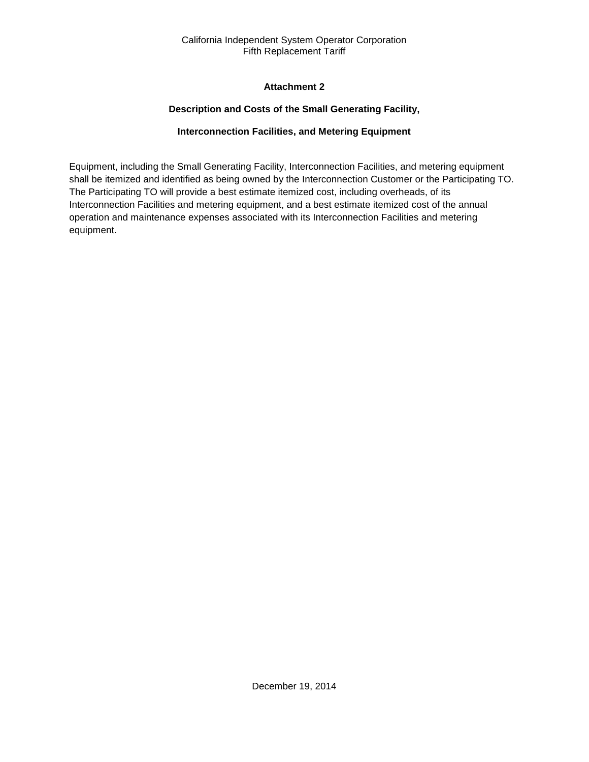## **Attachment 2**

## **Description and Costs of the Small Generating Facility,**

## **Interconnection Facilities, and Metering Equipment**

<span id="page-35-2"></span><span id="page-35-1"></span><span id="page-35-0"></span>Equipment, including the Small Generating Facility, Interconnection Facilities, and metering equipment shall be itemized and identified as being owned by the Interconnection Customer or the Participating TO. The Participating TO will provide a best estimate itemized cost, including overheads, of its Interconnection Facilities and metering equipment, and a best estimate itemized cost of the annual operation and maintenance expenses associated with its Interconnection Facilities and metering equipment.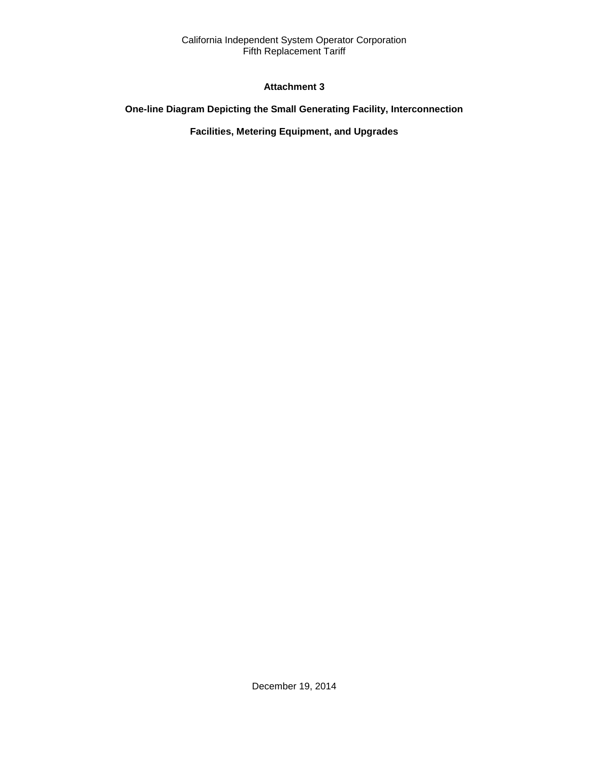## **Attachment 3**

## <span id="page-36-2"></span><span id="page-36-1"></span><span id="page-36-0"></span>**One-line Diagram Depicting the Small Generating Facility, Interconnection**

## **Facilities, Metering Equipment, and Upgrades**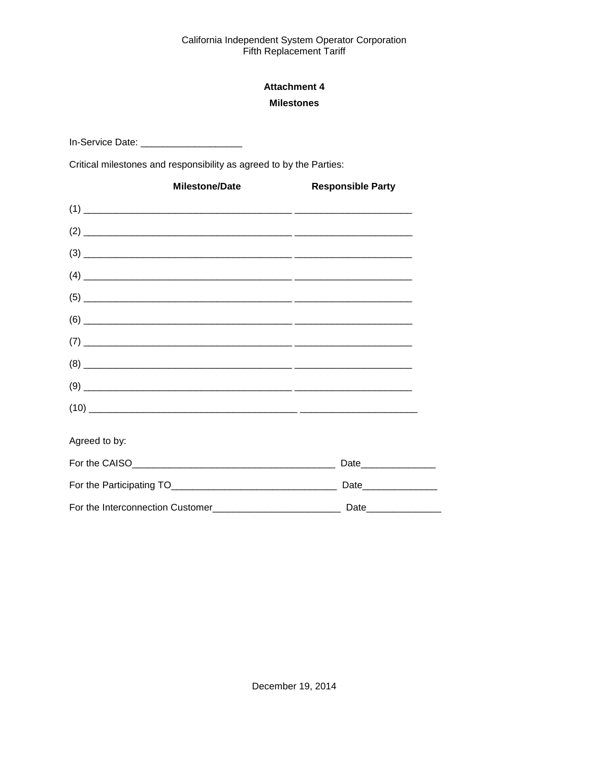## **Attachment 4 Milestones**

<span id="page-37-1"></span><span id="page-37-0"></span>In-Service Date: \_\_\_\_\_\_\_\_\_\_\_\_\_\_\_\_\_\_\_\_\_\_\_\_

Critical milestones and responsibility as agreed to by the Parties:

| <b>Milestone/Date</b>                                                                                                                                                                                                                                                                                                                                                                                                                                                           | <b>Responsible Party</b> |
|---------------------------------------------------------------------------------------------------------------------------------------------------------------------------------------------------------------------------------------------------------------------------------------------------------------------------------------------------------------------------------------------------------------------------------------------------------------------------------|--------------------------|
|                                                                                                                                                                                                                                                                                                                                                                                                                                                                                 |                          |
|                                                                                                                                                                                                                                                                                                                                                                                                                                                                                 |                          |
|                                                                                                                                                                                                                                                                                                                                                                                                                                                                                 |                          |
|                                                                                                                                                                                                                                                                                                                                                                                                                                                                                 |                          |
|                                                                                                                                                                                                                                                                                                                                                                                                                                                                                 |                          |
|                                                                                                                                                                                                                                                                                                                                                                                                                                                                                 |                          |
|                                                                                                                                                                                                                                                                                                                                                                                                                                                                                 |                          |
| $(8) \begin{tabular}{l} \hline \rule{0.2cm}{0.15cm} \rule{0.2cm}{0.15cm} \rule{0.2cm}{0.15cm} \rule{0.2cm}{0.15cm} \rule{0.2cm}{0.15cm} \rule{0.2cm}{0.15cm} \rule{0.2cm}{0.15cm} \rule{0.2cm}{0.15cm} \rule{0.2cm}{0.15cm} \rule{0.2cm}{0.15cm} \rule{0.2cm}{0.15cm} \rule{0.2cm}{0.15cm} \rule{0.2cm}{0.15cm} \rule{0.2cm}{0.15cm} \rule{0.2cm}{0.$                                                                                                                           |                          |
| $(9) \begin{tabular}{l} \hline \rule{0.2cm}{0.15cm} \rule{0.2cm}{0.15cm} \rule{0.2cm}{0.15cm} \rule{0.2cm}{0.15cm} \rule{0.2cm}{0.15cm} \rule{0.2cm}{0.15cm} \rule{0.2cm}{0.15cm} \rule{0.2cm}{0.15cm} \rule{0.2cm}{0.15cm} \rule{0.2cm}{0.15cm} \rule{0.2cm}{0.15cm} \rule{0.2cm}{0.15cm} \rule{0.2cm}{0.15cm} \rule{0.2cm}{0.15cm} \rule{0.2cm}{0.$                                                                                                                           |                          |
| $(10) \begin{tabular}{l} \hline \rule{0mm}{3ex} \multicolumn{3}{c}{} & \multicolumn{3}{c}{} \multicolumn{3}{c}{} \multicolumn{3}{c}{} \multicolumn{3}{c}{} \multicolumn{3}{c}{} \multicolumn{3}{c}{} \multicolumn{3}{c}{} \multicolumn{3}{c}{} \multicolumn{3}{c}{} \multicolumn{3}{c}{} \multicolumn{3}{c}{} \multicolumn{3}{c}{} \multicolumn{3}{c}{} \multicolumn{3}{c}{} \multicolumn{3}{c}{} \multicolumn{3}{c}{} \multicolumn{3}{c}{} \multicolumn{3}{c}{} \multicolumn{$ |                          |
| Agreed to by:                                                                                                                                                                                                                                                                                                                                                                                                                                                                   |                          |
|                                                                                                                                                                                                                                                                                                                                                                                                                                                                                 |                          |
|                                                                                                                                                                                                                                                                                                                                                                                                                                                                                 | Date_________________    |
|                                                                                                                                                                                                                                                                                                                                                                                                                                                                                 |                          |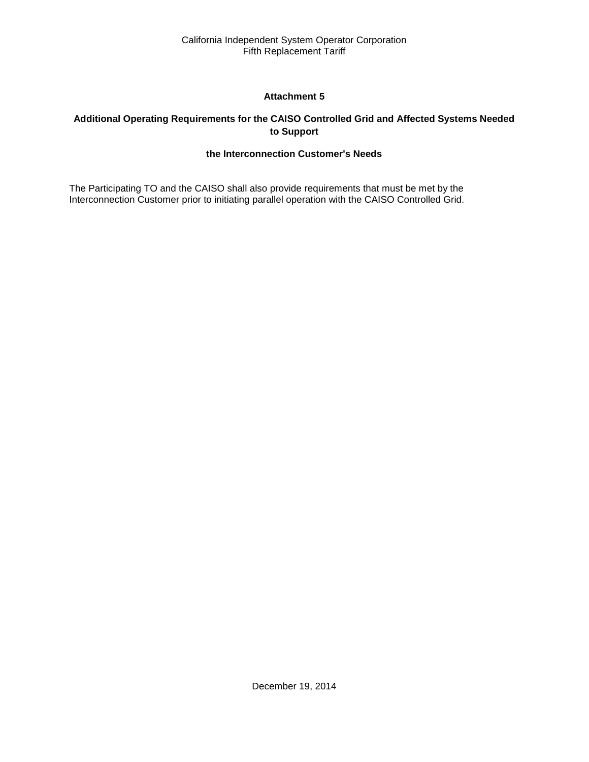## **Attachment 5**

## <span id="page-38-2"></span><span id="page-38-1"></span><span id="page-38-0"></span>**Additional Operating Requirements for the CAISO Controlled Grid and Affected Systems Needed to Support**

## **the Interconnection Customer's Needs**

The Participating TO and the CAISO shall also provide requirements that must be met by the Interconnection Customer prior to initiating parallel operation with the CAISO Controlled Grid.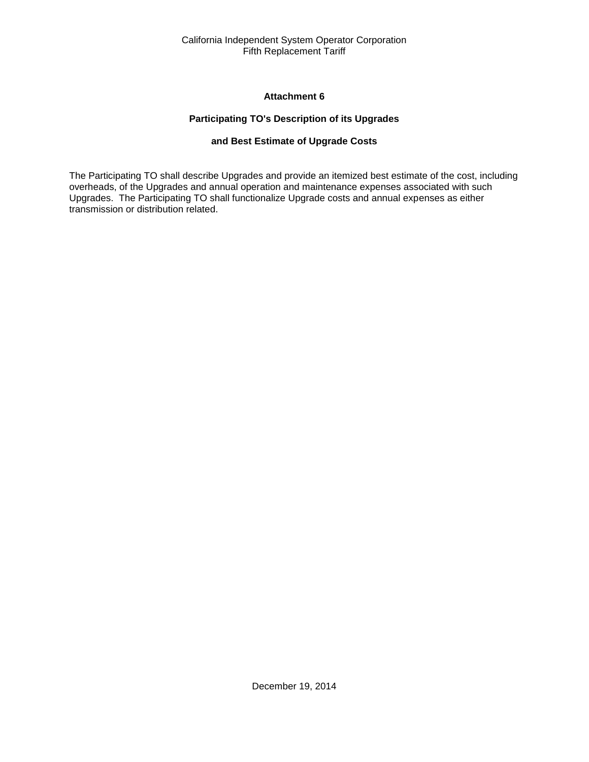#### **Attachment 6**

## **Participating TO's Description of its Upgrades**

## **and Best Estimate of Upgrade Costs**

<span id="page-39-2"></span><span id="page-39-1"></span><span id="page-39-0"></span>The Participating TO shall describe Upgrades and provide an itemized best estimate of the cost, including overheads, of the Upgrades and annual operation and maintenance expenses associated with such Upgrades. The Participating TO shall functionalize Upgrade costs and annual expenses as either transmission or distribution related.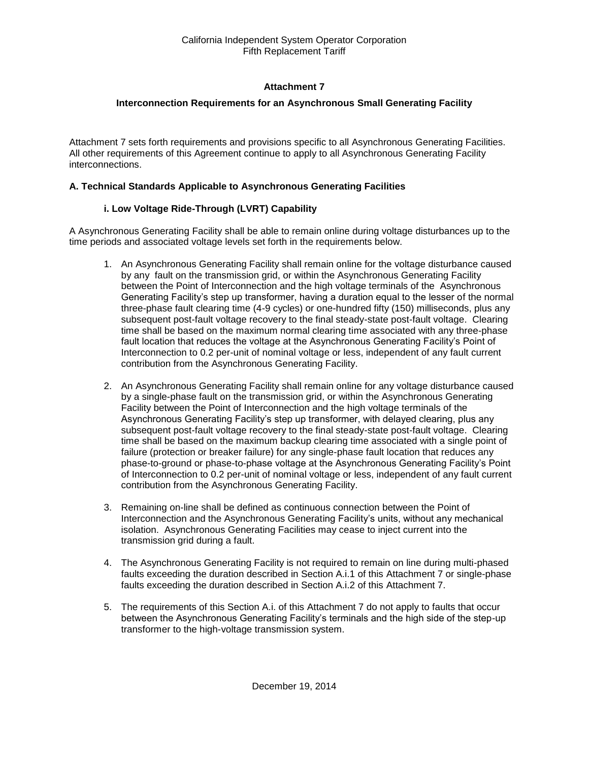## **Attachment 7**

## <span id="page-40-0"></span>**Interconnection Requirements for an Asynchronous Small Generating Facility**

<span id="page-40-1"></span>Attachment 7 sets forth requirements and provisions specific to all Asynchronous Generating Facilities. All other requirements of this Agreement continue to apply to all Asynchronous Generating Facility interconnections.

## **A. Technical Standards Applicable to Asynchronous Generating Facilities**

## **i. Low Voltage Ride-Through (LVRT) Capability**

A Asynchronous Generating Facility shall be able to remain online during voltage disturbances up to the time periods and associated voltage levels set forth in the requirements below.

- 1. An Asynchronous Generating Facility shall remain online for the voltage disturbance caused by any fault on the transmission grid, or within the Asynchronous Generating Facility between the Point of Interconnection and the high voltage terminals of the Asynchronous Generating Facility's step up transformer, having a duration equal to the lesser of the normal three-phase fault clearing time (4-9 cycles) or one-hundred fifty (150) milliseconds, plus any subsequent post-fault voltage recovery to the final steady-state post-fault voltage. Clearing time shall be based on the maximum normal clearing time associated with any three-phase fault location that reduces the voltage at the Asynchronous Generating Facility's Point of Interconnection to 0.2 per-unit of nominal voltage or less, independent of any fault current contribution from the Asynchronous Generating Facility.
- 2. An Asynchronous Generating Facility shall remain online for any voltage disturbance caused by a single-phase fault on the transmission grid, or within the Asynchronous Generating Facility between the Point of Interconnection and the high voltage terminals of the Asynchronous Generating Facility's step up transformer, with delayed clearing, plus any subsequent post-fault voltage recovery to the final steady-state post-fault voltage. Clearing time shall be based on the maximum backup clearing time associated with a single point of failure (protection or breaker failure) for any single-phase fault location that reduces any phase-to-ground or phase-to-phase voltage at the Asynchronous Generating Facility's Point of Interconnection to 0.2 per-unit of nominal voltage or less, independent of any fault current contribution from the Asynchronous Generating Facility.
- 3. Remaining on-line shall be defined as continuous connection between the Point of Interconnection and the Asynchronous Generating Facility's units, without any mechanical isolation. Asynchronous Generating Facilities may cease to inject current into the transmission grid during a fault.
- 4. The Asynchronous Generating Facility is not required to remain on line during multi-phased faults exceeding the duration described in Section A.i.1 of this Attachment 7 or single-phase faults exceeding the duration described in Section A.i.2 of this Attachment 7.
- 5. The requirements of this Section A.i. of this Attachment 7 do not apply to faults that occur between the Asynchronous Generating Facility's terminals and the high side of the step-up transformer to the high-voltage transmission system.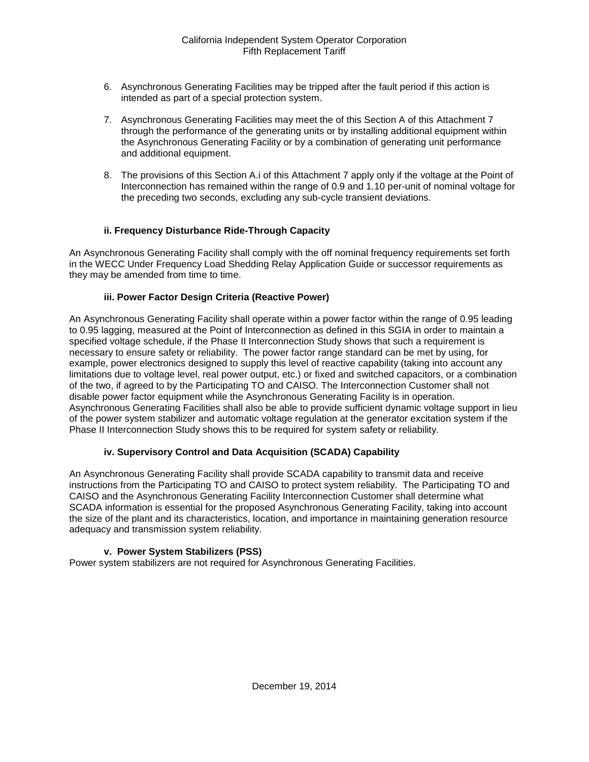- 6. Asynchronous Generating Facilities may be tripped after the fault period if this action is intended as part of a special protection system.
- 7. Asynchronous Generating Facilities may meet the of this Section A of this Attachment 7 through the performance of the generating units or by installing additional equipment within the Asynchronous Generating Facility or by a combination of generating unit performance and additional equipment.
- 8. The provisions of this Section A.i of this Attachment 7 apply only if the voltage at the Point of Interconnection has remained within the range of 0.9 and 1.10 per-unit of nominal voltage for the preceding two seconds, excluding any sub-cycle transient deviations.

## **ii. Frequency Disturbance Ride-Through Capacity**

An Asynchronous Generating Facility shall comply with the off nominal frequency requirements set forth in the WECC Under Frequency Load Shedding Relay Application Guide or successor requirements as they may be amended from time to time.

## **iii. Power Factor Design Criteria (Reactive Power)**

An Asynchronous Generating Facility shall operate within a power factor within the range of 0.95 leading to 0.95 lagging, measured at the Point of Interconnection as defined in this SGIA in order to maintain a specified voltage schedule, if the Phase II Interconnection Study shows that such a requirement is necessary to ensure safety or reliability. The power factor range standard can be met by using, for example, power electronics designed to supply this level of reactive capability (taking into account any limitations due to voltage level, real power output, etc.) or fixed and switched capacitors, or a combination of the two, if agreed to by the Participating TO and CAISO. The Interconnection Customer shall not disable power factor equipment while the Asynchronous Generating Facility is in operation. Asynchronous Generating Facilities shall also be able to provide sufficient dynamic voltage support in lieu of the power system stabilizer and automatic voltage regulation at the generator excitation system if the Phase II Interconnection Study shows this to be required for system safety or reliability.

## **iv. Supervisory Control and Data Acquisition (SCADA) Capability**

An Asynchronous Generating Facility shall provide SCADA capability to transmit data and receive instructions from the Participating TO and CAISO to protect system reliability. The Participating TO and CAISO and the Asynchronous Generating Facility Interconnection Customer shall determine what SCADA information is essential for the proposed Asynchronous Generating Facility, taking into account the size of the plant and its characteristics, location, and importance in maintaining generation resource adequacy and transmission system reliability.

#### **v. Power System Stabilizers (PSS)**

Power system stabilizers are not required for Asynchronous Generating Facilities.